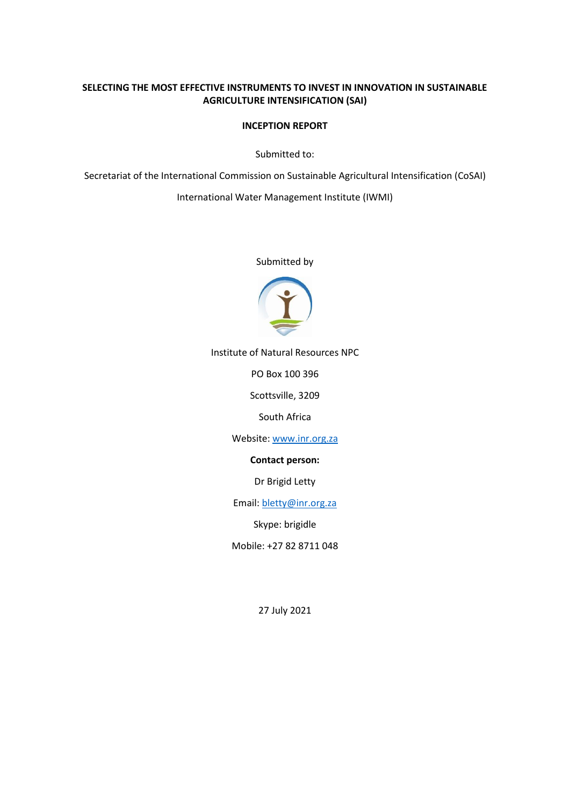#### **SELECTING THE MOST EFFECTIVE INSTRUMENTS TO INVEST IN INNOVATION IN SUSTAINABLE AGRICULTURE INTENSIFICATION (SAI)**

#### **INCEPTION REPORT**

Submitted to:

Secretariat of the International Commission on Sustainable Agricultural Intensification (CoSAI)

International Water Management Institute (IWMI)

Submitted by



Institute of Natural Resources NPC

PO Box 100 396

Scottsville, 3209

South Africa

Website[: www.inr.org.za](about:blank)

**Contact person:**

Dr Brigid Letty

Email[: bletty@inr.org.za](about:blank)

Skype: brigidle

Mobile: +27 82 8711 048

27 July 2021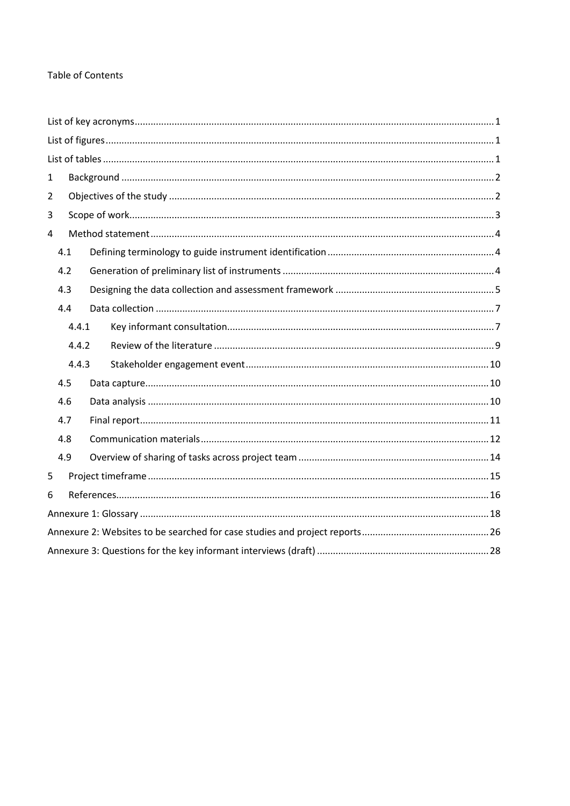#### **Table of Contents**

| $\mathbf{1}$   |       |  |  |  |  |  |  |
|----------------|-------|--|--|--|--|--|--|
| $\overline{2}$ |       |  |  |  |  |  |  |
| 3              |       |  |  |  |  |  |  |
| 4              |       |  |  |  |  |  |  |
| 4.1            |       |  |  |  |  |  |  |
| 4.2            |       |  |  |  |  |  |  |
| 4.3            |       |  |  |  |  |  |  |
| 4.4            |       |  |  |  |  |  |  |
|                | 4.4.1 |  |  |  |  |  |  |
|                | 4.4.2 |  |  |  |  |  |  |
|                | 4.4.3 |  |  |  |  |  |  |
| 4.5            |       |  |  |  |  |  |  |
| 4.6            |       |  |  |  |  |  |  |
| 4.7            |       |  |  |  |  |  |  |
| 4.8            |       |  |  |  |  |  |  |
| 4.9            |       |  |  |  |  |  |  |
| 5              |       |  |  |  |  |  |  |
| 6              |       |  |  |  |  |  |  |
|                |       |  |  |  |  |  |  |
|                |       |  |  |  |  |  |  |
|                |       |  |  |  |  |  |  |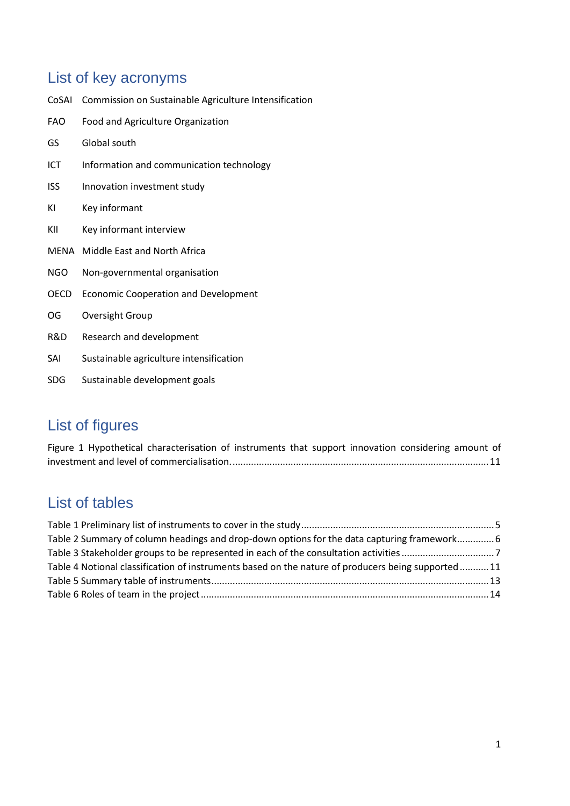## <span id="page-2-0"></span>List of key acronyms

CoSAI Commission on Sustainable Agriculture Intensification FAO Food and Agriculture Organization GS Global south ICT Information and communication technology ISS Innovation investment study KI Key informant KII Key informant interview MENA Middle East and North Africa NGO Non-governmental organisation OECD Economic Cooperation and Development OG Oversight Group R&D Research and development SAI Sustainable agriculture intensification SDG Sustainable development goals

## <span id="page-2-1"></span>List of figures

[Figure 1 Hypothetical characterisation of instruments that support innovation considering amount of](#page-12-1)  [investment and level of commercialisation..................................................................................................11](#page-12-1)

## <span id="page-2-2"></span>List of tables

| Table 2 Summary of column headings and drop-down options for the data capturing framework 6       |  |
|---------------------------------------------------------------------------------------------------|--|
|                                                                                                   |  |
| Table 4 Notional classification of instruments based on the nature of producers being supported11 |  |
|                                                                                                   |  |
|                                                                                                   |  |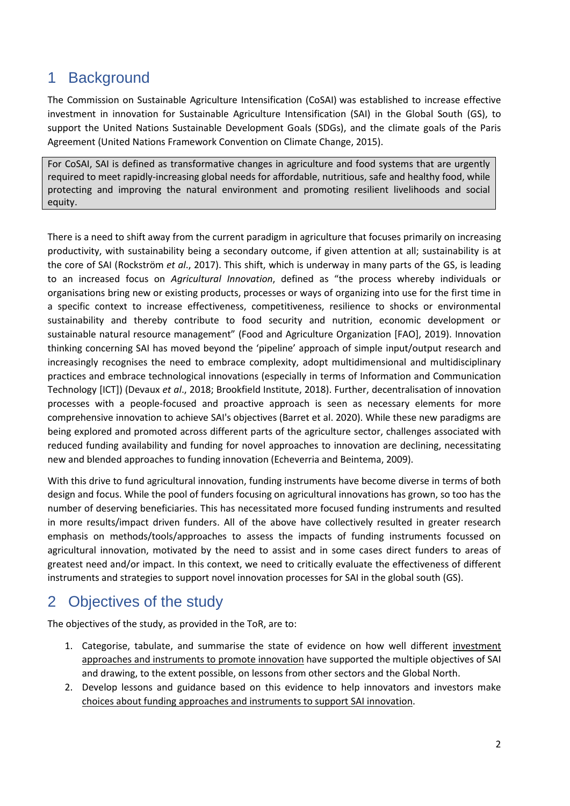## <span id="page-3-0"></span>1 Background

The Commission on Sustainable Agriculture Intensification (CoSAI) was established to increase effective investment in innovation for Sustainable Agriculture Intensification (SAI) in the Global South (GS), to support the United Nations Sustainable Development Goals (SDGs), and the climate goals of the Paris Agreement (United Nations Framework Convention on Climate Change, 2015).

For CoSAI, SAI is defined as transformative changes in agriculture and food systems that are urgently required to meet rapidly-increasing global needs for affordable, nutritious, safe and healthy food, while protecting and improving the natural environment and promoting resilient livelihoods and social equity.

There is a need to shift away from the current paradigm in agriculture that focuses primarily on increasing productivity, with sustainability being a secondary outcome, if given attention at all; sustainability is at the core of SAI (Rockström *et al*., 2017). This shift, which is underway in many parts of the GS, is leading to an increased focus on *Agricultural Innovation*, defined as "the process whereby individuals or organisations bring new or existing products, processes or ways of organizing into use for the first time in a specific context to increase effectiveness, competitiveness, resilience to shocks or environmental sustainability and thereby contribute to food security and nutrition, economic development or sustainable natural resource management" (Food and Agriculture Organization [FAO], 2019). Innovation thinking concerning SAI has moved beyond the 'pipeline' approach of simple input/output research and increasingly recognises the need to embrace complexity, adopt multidimensional and multidisciplinary practices and embrace technological innovations (especially in terms of Information and Communication Technology [ICT]) (Devaux *et al*., 2018; Brookfield Institute, 2018). Further, decentralisation of innovation processes with a people-focused and proactive approach is seen as necessary elements for more comprehensive innovation to achieve SAI's objectives (Barret et al. 2020). While these new paradigms are being explored and promoted across different parts of the agriculture sector, challenges associated with reduced funding availability and funding for novel approaches to innovation are declining, necessitating new and blended approaches to funding innovation (Echeverria and Beintema, 2009).

With this drive to fund agricultural innovation, funding instruments have become diverse in terms of both design and focus. While the pool of funders focusing on agricultural innovations has grown, so too has the number of deserving beneficiaries. This has necessitated more focused funding instruments and resulted in more results/impact driven funders. All of the above have collectively resulted in greater research emphasis on methods/tools/approaches to assess the impacts of funding instruments focussed on agricultural innovation, motivated by the need to assist and in some cases direct funders to areas of greatest need and/or impact. In this context, we need to critically evaluate the effectiveness of different instruments and strategies to support novel innovation processes for SAI in the global south (GS).

## <span id="page-3-1"></span>2 Objectives of the study

The objectives of the study, as provided in the ToR, are to:

- 1. Categorise, tabulate, and summarise the state of evidence on how well different investment approaches and instruments to promote innovation have supported the multiple objectives of SAI and drawing, to the extent possible, on lessons from other sectors and the Global North.
- 2. Develop lessons and guidance based on this evidence to help innovators and investors make choices about funding approaches and instruments to support SAI innovation.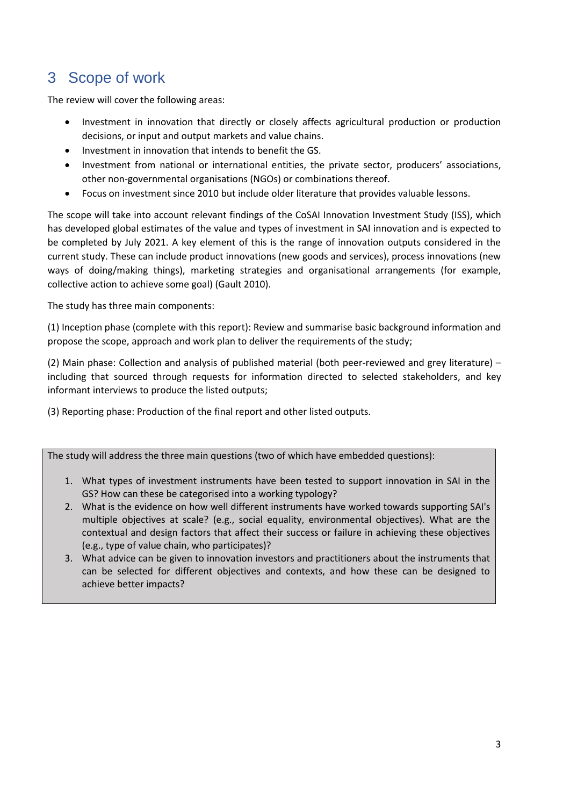## <span id="page-4-0"></span>3 Scope of work

The review will cover the following areas:

- Investment in innovation that directly or closely affects agricultural production or production decisions, or input and output markets and value chains.
- Investment in innovation that intends to benefit the GS.
- Investment from national or international entities, the private sector, producers' associations, other non-governmental organisations (NGOs) or combinations thereof.
- Focus on investment since 2010 but include older literature that provides valuable lessons.

The scope will take into account relevant findings of the CoSAI Innovation Investment Study (ISS), which has developed global estimates of the value and types of investment in SAI innovation and is expected to be completed by July 2021. A key element of this is the range of innovation outputs considered in the current study. These can include product innovations (new goods and services), process innovations (new ways of doing/making things), marketing strategies and organisational arrangements (for example, collective action to achieve some goal) (Gault 2010).

The study has three main components:

(1) Inception phase (complete with this report): Review and summarise basic background information and propose the scope, approach and work plan to deliver the requirements of the study;

(2) Main phase: Collection and analysis of published material (both peer-reviewed and grey literature) – including that sourced through requests for information directed to selected stakeholders, and key informant interviews to produce the listed outputs;

(3) Reporting phase: Production of the final report and other listed outputs.

The study will address the three main questions (two of which have embedded questions):

- 1. What types of investment instruments have been tested to support innovation in SAI in the GS? How can these be categorised into a working typology?
- 2. What is the evidence on how well different instruments have worked towards supporting SAI's multiple objectives at scale? (e.g., social equality, environmental objectives). What are the contextual and design factors that affect their success or failure in achieving these objectives (e.g., type of value chain, who participates)?
- 3. What advice can be given to innovation investors and practitioners about the instruments that can be selected for different objectives and contexts, and how these can be designed to achieve better impacts?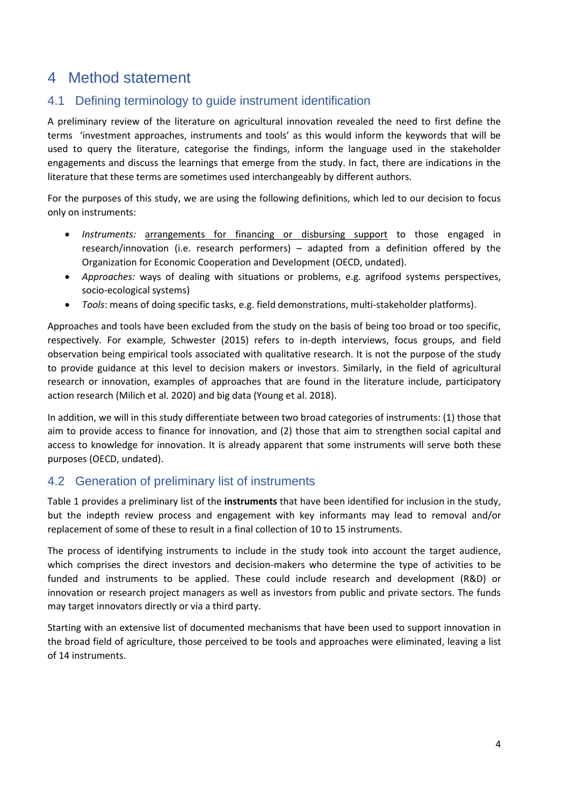### <span id="page-5-0"></span>4 Method statement

### <span id="page-5-1"></span>4.1 Defining terminology to guide instrument identification

A preliminary review of the literature on agricultural innovation revealed the need to first define the terms 'investment approaches, instruments and tools' as this would inform the keywords that will be used to query the literature, categorise the findings, inform the language used in the stakeholder engagements and discuss the learnings that emerge from the study. In fact, there are indications in the literature that these terms are sometimes used interchangeably by different authors.

For the purposes of this study, we are using the following definitions, which led to our decision to focus only on instruments:

- *Instruments:* arrangements for financing or disbursing support to those engaged in research/innovation (i.e. research performers) – adapted from a definition offered by the Organization for Economic Cooperation and Development (OECD, undated).
- *Approaches:* ways of dealing with situations or problems, e.g. agrifood systems perspectives, socio-ecological systems)
- *Tools*: means of doing specific tasks, e.g. field demonstrations, multi-stakeholder platforms).

Approaches and tools have been excluded from the study on the basis of being too broad or too specific, respectively. For example, Schwester (2015) refers to in-depth interviews, focus groups, and field observation being empirical tools associated with qualitative research. It is not the purpose of the study to provide guidance at this level to decision makers or investors. Similarly, in the field of agricultural research or innovation, examples of approaches that are found in the literature include, participatory action research (Milich et al. 2020) and big data (Young et al. 2018).

In addition, we will in this study differentiate between two broad categories of instruments: (1) those that aim to provide access to finance for innovation, and (2) those that aim to strengthen social capital and access to knowledge for innovation. It is already apparent that some instruments will serve both these purposes (OECD, undated).

### <span id="page-5-2"></span>4.2 Generation of preliminary list of instruments

[Table 1](#page-6-1) provides a preliminary list of the **instruments** that have been identified for inclusion in the study, but the indepth review process and engagement with key informants may lead to removal and/or replacement of some of these to result in a final collection of 10 to 15 instruments.

The process of identifying instruments to include in the study took into account the target audience, which comprises the direct investors and decision-makers who determine the type of activities to be funded and instruments to be applied. These could include research and development (R&D) or innovation or research project managers as well as investors from public and private sectors. The funds may target innovators directly or via a third party.

Starting with an extensive list of documented mechanisms that have been used to support innovation in the broad field of agriculture, those perceived to be tools and approaches were eliminated, leaving a list of 14 instruments.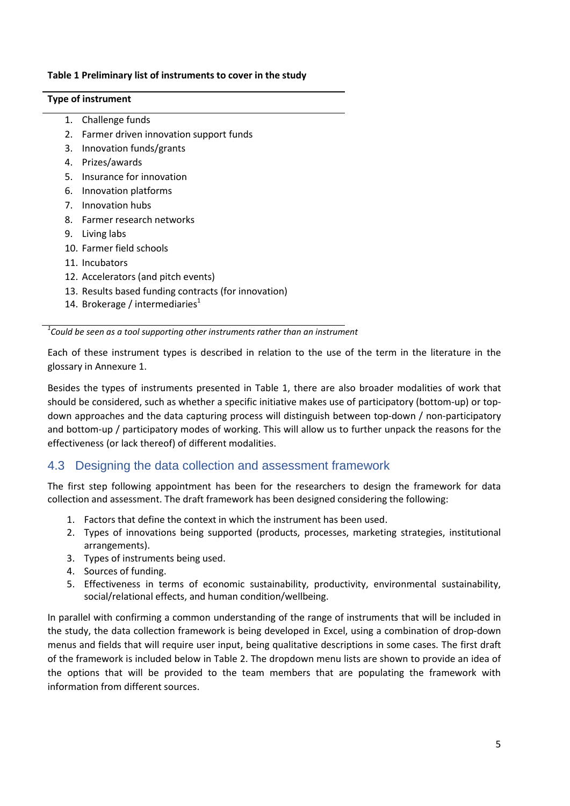#### <span id="page-6-1"></span>**Table 1 Preliminary list of instruments to cover in the study**

#### **Type of instrument**

- 1. Challenge funds
- 2. Farmer driven innovation support funds
- 3. Innovation funds/grants
- 4. Prizes/awards
- 5. Insurance for innovation
- 6. Innovation platforms
- 7. Innovation hubs
- 8. Farmer research networks
- 9. Living labs
- 10. Farmer field schools
- 11. Incubators
- 12. Accelerators (and pitch events)
- 13. Results based funding contracts (for innovation)
- 14. Brokerage / intermediaries $1$

*1 Could be seen as a tool supporting other instruments rather than an instrument*

Each of these instrument types is described in relation to the use of the term in the literature in the glossary in Annexure 1.

Besides the types of instruments presented in Table 1, there are also broader modalities of work that should be considered, such as whether a specific initiative makes use of participatory (bottom-up) or topdown approaches and the data capturing process will distinguish between top-down / non-participatory and bottom-up / participatory modes of working. This will allow us to further unpack the reasons for the effectiveness (or lack thereof) of different modalities.

#### <span id="page-6-0"></span>4.3 Designing the data collection and assessment framework

The first step following appointment has been for the researchers to design the framework for data collection and assessment. The draft framework has been designed considering the following:

- 1. Factors that define the context in which the instrument has been used.
- 2. Types of innovations being supported (products, processes, marketing strategies, institutional arrangements).
- 3. Types of instruments being used.
- 4. Sources of funding.
- 5. Effectiveness in terms of economic sustainability, productivity, environmental sustainability, social/relational effects, and human condition/wellbeing.

In parallel with confirming a common understanding of the range of instruments that will be included in the study, the data collection framework is being developed in Excel, using a combination of drop-down menus and fields that will require user input, being qualitative descriptions in some cases. The first draft of the framework is included below in [Table 2.](#page-7-0) The dropdown menu lists are shown to provide an idea of the options that will be provided to the team members that are populating the framework with information from different sources.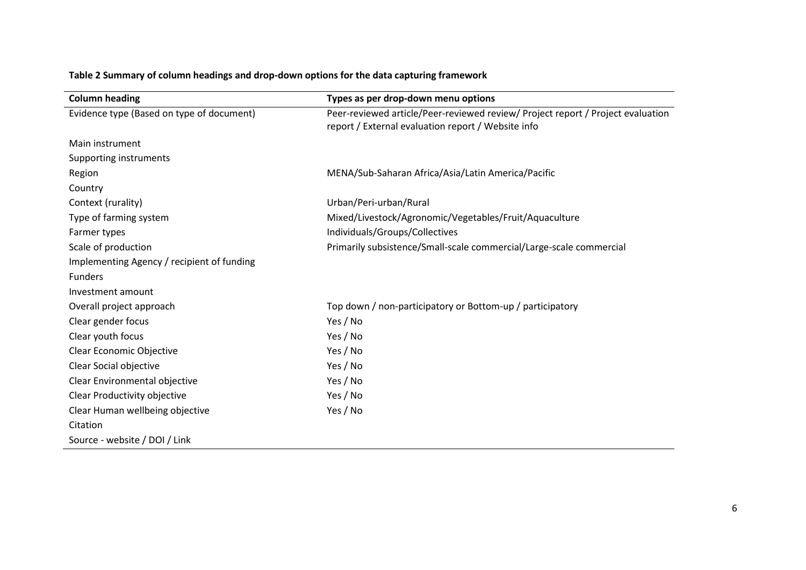<span id="page-7-0"></span>

| <b>Column heading</b>                      | Types as per drop-down menu options                                                                                                   |
|--------------------------------------------|---------------------------------------------------------------------------------------------------------------------------------------|
| Evidence type (Based on type of document)  | Peer-reviewed article/Peer-reviewed review/ Project report / Project evaluation<br>report / External evaluation report / Website info |
| Main instrument                            |                                                                                                                                       |
| Supporting instruments                     |                                                                                                                                       |
|                                            |                                                                                                                                       |
| Region                                     | MENA/Sub-Saharan Africa/Asia/Latin America/Pacific                                                                                    |
| Country                                    |                                                                                                                                       |
| Context (rurality)                         | Urban/Peri-urban/Rural                                                                                                                |
| Type of farming system                     | Mixed/Livestock/Agronomic/Vegetables/Fruit/Aquaculture                                                                                |
| Farmer types                               | Individuals/Groups/Collectives                                                                                                        |
| Scale of production                        | Primarily subsistence/Small-scale commercial/Large-scale commercial                                                                   |
| Implementing Agency / recipient of funding |                                                                                                                                       |
| <b>Funders</b>                             |                                                                                                                                       |
| Investment amount                          |                                                                                                                                       |
| Overall project approach                   | Top down / non-participatory or Bottom-up / participatory                                                                             |
| Clear gender focus                         | Yes / No                                                                                                                              |
| Clear youth focus                          | Yes / No                                                                                                                              |
| Clear Economic Objective                   | Yes / No                                                                                                                              |
| Clear Social objective                     | Yes / No                                                                                                                              |
| Clear Environmental objective              | Yes / No                                                                                                                              |
| Clear Productivity objective               | Yes / No                                                                                                                              |
| Clear Human wellbeing objective            | Yes / No                                                                                                                              |
| Citation                                   |                                                                                                                                       |
| Source - website / DOI / Link              |                                                                                                                                       |

### **Table 2 Summary of column headings and drop-down options for the data capturing framework**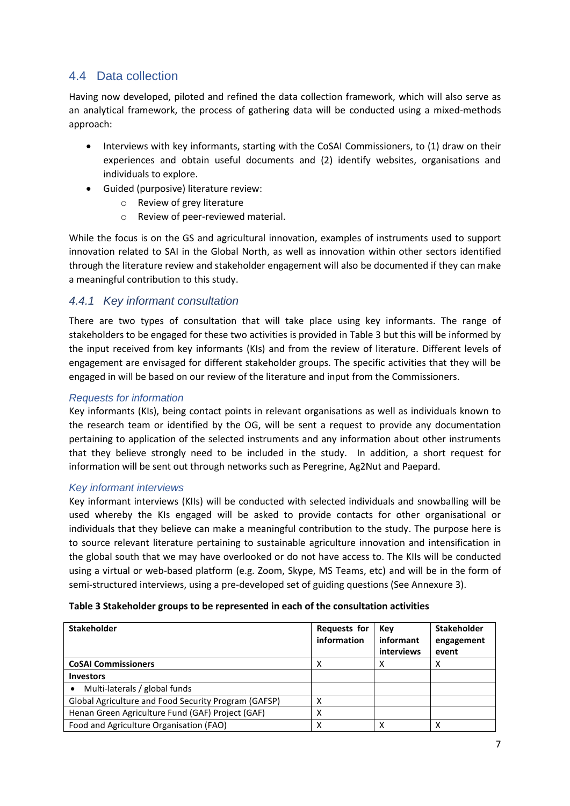### <span id="page-8-0"></span>4.4 Data collection

Having now developed, piloted and refined the data collection framework, which will also serve as an analytical framework, the process of gathering data will be conducted using a mixed-methods approach:

- Interviews with key informants, starting with the CoSAI Commissioners, to (1) draw on their experiences and obtain useful documents and (2) identify websites, organisations and individuals to explore.
- Guided (purposive) literature review:
	- o Review of grey literature
	- o Review of peer-reviewed material.

While the focus is on the GS and agricultural innovation, examples of instruments used to support innovation related to SAI in the Global North, as well as innovation within other sectors identified through the literature review and stakeholder engagement will also be documented if they can make a meaningful contribution to this study.

#### <span id="page-8-1"></span>*4.4.1 Key informant consultation*

There are two types of consultation that will take place using key informants. The range of stakeholders to be engaged for these two activities is provided in [Table 3](#page-8-2) but this will be informed by the input received from key informants (KIs) and from the review of literature. Different levels of engagement are envisaged for different stakeholder groups. The specific activities that they will be engaged in will be based on our review of the literature and input from the Commissioners.

#### *Requests for information*

Key informants (KIs), being contact points in relevant organisations as well as individuals known to the research team or identified by the OG, will be sent a request to provide any documentation pertaining to application of the selected instruments and any information about other instruments that they believe strongly need to be included in the study. In addition, a short request for information will be sent out through networks such as Peregrine, Ag2Nut and Paepard.

#### *Key informant interviews*

Key informant interviews (KIIs) will be conducted with selected individuals and snowballing will be used whereby the KIs engaged will be asked to provide contacts for other organisational or individuals that they believe can make a meaningful contribution to the study. The purpose here is to source relevant literature pertaining to sustainable agriculture innovation and intensification in the global south that we may have overlooked or do not have access to. The KIIs will be conducted using a virtual or web-based platform (e.g. Zoom, Skype, MS Teams, etc) and will be in the form of semi-structured interviews, using a pre-developed set of guiding questions (See Annexure 3).

<span id="page-8-2"></span>

| Table 3 Stakeholder groups to be represented in each of the consultation activities |  |  |
|-------------------------------------------------------------------------------------|--|--|
|-------------------------------------------------------------------------------------|--|--|

| <b>Stakeholder</b>                                   | <b>Requests for</b><br>information | Key<br>informant<br>interviews | <b>Stakeholder</b><br>engagement<br>event |
|------------------------------------------------------|------------------------------------|--------------------------------|-------------------------------------------|
| <b>CoSAI Commissioners</b>                           |                                    |                                |                                           |
| <b>Investors</b>                                     |                                    |                                |                                           |
| Multi-laterals / global funds<br>$\bullet$           |                                    |                                |                                           |
| Global Agriculture and Food Security Program (GAFSP) |                                    |                                |                                           |
| Henan Green Agriculture Fund (GAF) Project (GAF)     |                                    |                                |                                           |
| Food and Agriculture Organisation (FAO)              | x                                  |                                | χ                                         |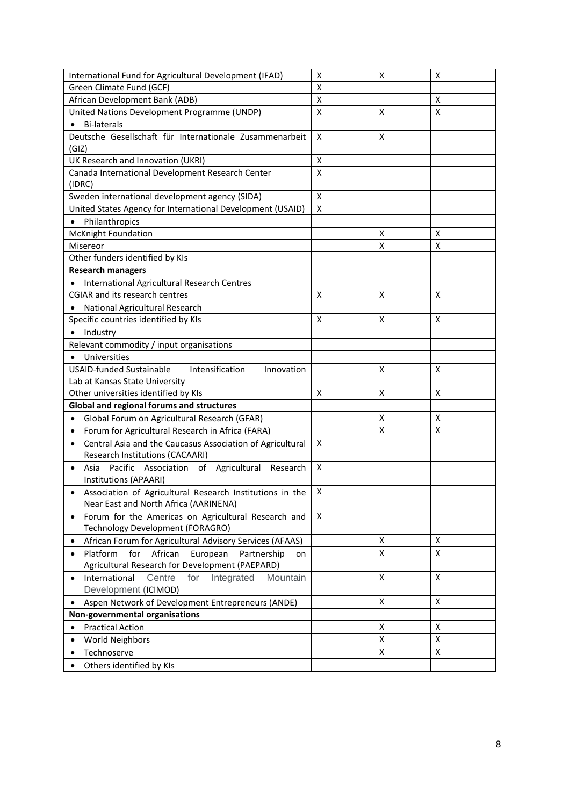| International Fund for Agricultural Development (IFAD)<br>х<br>х<br>Green Climate Fund (GCF)<br>X<br>African Development Bank (ADB)<br>X<br>Χ<br>United Nations Development Programme (UNDP)<br>X<br>X<br>X<br><b>Bi-laterals</b><br>Deutsche Gesellschaft für Internationale Zusammenarbeit<br>X<br>X<br>(GIZ)<br>UK Research and Innovation (UKRI)<br>X<br>Canada International Development Research Center<br>X<br>(IDRC) |
|------------------------------------------------------------------------------------------------------------------------------------------------------------------------------------------------------------------------------------------------------------------------------------------------------------------------------------------------------------------------------------------------------------------------------|
|                                                                                                                                                                                                                                                                                                                                                                                                                              |
|                                                                                                                                                                                                                                                                                                                                                                                                                              |
|                                                                                                                                                                                                                                                                                                                                                                                                                              |
|                                                                                                                                                                                                                                                                                                                                                                                                                              |
|                                                                                                                                                                                                                                                                                                                                                                                                                              |
|                                                                                                                                                                                                                                                                                                                                                                                                                              |
|                                                                                                                                                                                                                                                                                                                                                                                                                              |
|                                                                                                                                                                                                                                                                                                                                                                                                                              |
|                                                                                                                                                                                                                                                                                                                                                                                                                              |
| Sweden international development agency (SIDA)<br>X                                                                                                                                                                                                                                                                                                                                                                          |
| United States Agency for International Development (USAID)<br>X                                                                                                                                                                                                                                                                                                                                                              |
| Philanthropics<br>$\bullet$                                                                                                                                                                                                                                                                                                                                                                                                  |
| McKnight Foundation<br>X<br>X                                                                                                                                                                                                                                                                                                                                                                                                |
| Misereor<br>X<br>X                                                                                                                                                                                                                                                                                                                                                                                                           |
| Other funders identified by KIs                                                                                                                                                                                                                                                                                                                                                                                              |
| <b>Research managers</b>                                                                                                                                                                                                                                                                                                                                                                                                     |
| International Agricultural Research Centres                                                                                                                                                                                                                                                                                                                                                                                  |
| <b>CGIAR and its research centres</b><br>X<br>x<br>X                                                                                                                                                                                                                                                                                                                                                                         |
| National Agricultural Research                                                                                                                                                                                                                                                                                                                                                                                               |
| Specific countries identified by KIs<br>X<br>X<br>X                                                                                                                                                                                                                                                                                                                                                                          |
| Industry                                                                                                                                                                                                                                                                                                                                                                                                                     |
| Relevant commodity / input organisations                                                                                                                                                                                                                                                                                                                                                                                     |
| Universities<br>$\bullet$                                                                                                                                                                                                                                                                                                                                                                                                    |
| <b>USAID-funded Sustainable</b><br>Intensification<br>X<br>X<br>Innovation                                                                                                                                                                                                                                                                                                                                                   |
| Lab at Kansas State University                                                                                                                                                                                                                                                                                                                                                                                               |
| Other universities identified by KIs<br>Χ<br>X<br>X                                                                                                                                                                                                                                                                                                                                                                          |
| Global and regional forums and structures                                                                                                                                                                                                                                                                                                                                                                                    |
| x<br>X<br>Global Forum on Agricultural Research (GFAR)<br>$\bullet$                                                                                                                                                                                                                                                                                                                                                          |
| X<br>X<br>Forum for Agricultural Research in Africa (FARA)<br>$\bullet$                                                                                                                                                                                                                                                                                                                                                      |
| Central Asia and the Caucasus Association of Agricultural<br>X<br>$\bullet$                                                                                                                                                                                                                                                                                                                                                  |
| Research Institutions (CACAARI)                                                                                                                                                                                                                                                                                                                                                                                              |
| X<br>Pacific Association of Agricultural Research<br>Asia                                                                                                                                                                                                                                                                                                                                                                    |
| Institutions (APAARI)                                                                                                                                                                                                                                                                                                                                                                                                        |
| X<br>Association of Agricultural Research Institutions in the                                                                                                                                                                                                                                                                                                                                                                |
| Near East and North Africa (AARINENA)                                                                                                                                                                                                                                                                                                                                                                                        |
| Forum for the Americas on Agricultural Research and<br>X<br>$\bullet$                                                                                                                                                                                                                                                                                                                                                        |
| Technology Development (FORAGRO)                                                                                                                                                                                                                                                                                                                                                                                             |
| African Forum for Agricultural Advisory Services (AFAAS)<br>X<br>Χ<br>$\bullet$                                                                                                                                                                                                                                                                                                                                              |
| X<br>X<br>Platform<br>for<br>African<br>European<br>Partnership<br>$\bullet$<br>on                                                                                                                                                                                                                                                                                                                                           |
| Agricultural Research for Development (PAEPARD)                                                                                                                                                                                                                                                                                                                                                                              |
| X<br>Centre<br>Integrated<br>X<br>International<br>for<br>Mountain<br>$\bullet$                                                                                                                                                                                                                                                                                                                                              |
| Development (ICIMOD)                                                                                                                                                                                                                                                                                                                                                                                                         |
| Χ<br>X<br>Aspen Network of Development Entrepreneurs (ANDE)<br>$\bullet$                                                                                                                                                                                                                                                                                                                                                     |
| Non-governmental organisations                                                                                                                                                                                                                                                                                                                                                                                               |
| X<br>Χ<br><b>Practical Action</b><br>$\bullet$                                                                                                                                                                                                                                                                                                                                                                               |
| Χ<br>X<br><b>World Neighbors</b><br>$\bullet$                                                                                                                                                                                                                                                                                                                                                                                |
| X<br>$\pmb{\mathsf{X}}$<br>Technoserve<br>$\bullet$                                                                                                                                                                                                                                                                                                                                                                          |
| Others identified by KIs                                                                                                                                                                                                                                                                                                                                                                                                     |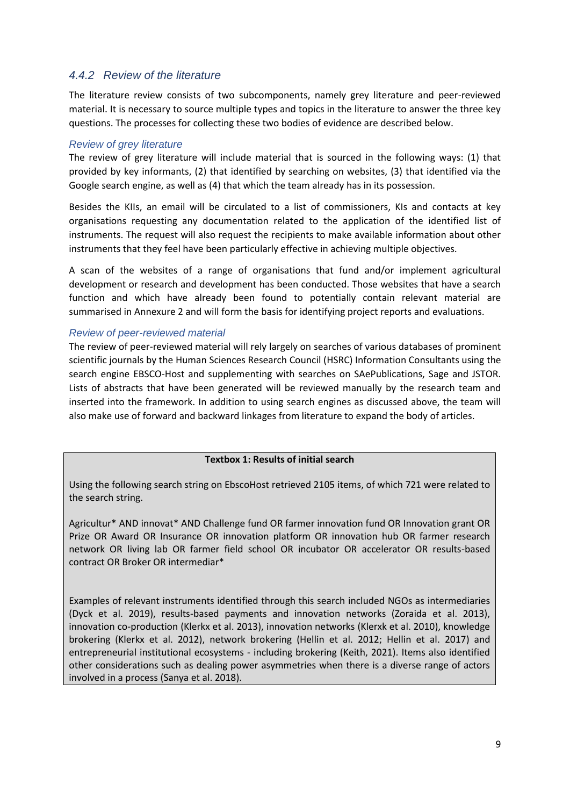#### <span id="page-10-0"></span>*4.4.2 Review of the literature*

The literature review consists of two subcomponents, namely grey literature and peer-reviewed material. It is necessary to source multiple types and topics in the literature to answer the three key questions. The processes for collecting these two bodies of evidence are described below.

#### *Review of grey literature*

The review of grey literature will include material that is sourced in the following ways: (1) that provided by key informants, (2) that identified by searching on websites, (3) that identified via the Google search engine, as well as (4) that which the team already has in its possession.

Besides the KIIs, an email will be circulated to a list of commissioners, KIs and contacts at key organisations requesting any documentation related to the application of the identified list of instruments. The request will also request the recipients to make available information about other instruments that they feel have been particularly effective in achieving multiple objectives.

A scan of the websites of a range of organisations that fund and/or implement agricultural development or research and development has been conducted. Those websites that have a search function and which have already been found to potentially contain relevant material are summarised in Annexure 2 and will form the basis for identifying project reports and evaluations.

#### *Review of peer-reviewed material*

The review of peer-reviewed material will rely largely on searches of various databases of prominent scientific journals by the Human Sciences Research Council (HSRC) Information Consultants using the search engine EBSCO-Host and supplementing with searches on SAePublications, Sage and JSTOR. Lists of abstracts that have been generated will be reviewed manually by the research team and inserted into the framework. In addition to using search engines as discussed above, the team will also make use of forward and backward linkages from literature to expand the body of articles.

#### **Textbox 1: Results of initial search**

Using the following search string on EbscoHost retrieved 2105 items, of which 721 were related to the search string.

Agricultur\* AND innovat\* AND Challenge fund OR farmer innovation fund OR Innovation grant OR Prize OR Award OR Insurance OR innovation platform OR innovation hub OR farmer research network OR living lab OR farmer field school OR incubator OR accelerator OR results-based contract OR Broker OR intermediar\*

Examples of relevant instruments identified through this search included NGOs as intermediaries (Dyck et al. 2019), results-based payments and innovation networks (Zoraida et al. 2013), innovation co-production (Klerkx et al. 2013), innovation networks (Klerxk et al. 2010), knowledge brokering (Klerkx et al. 2012), network brokering (Hellin et al. 2012; Hellin et al. 2017) and entrepreneurial institutional ecosystems - including brokering (Keith, 2021). Items also identified other considerations such as dealing power asymmetries when there is a diverse range of actors involved in a process (Sanya et al. 2018).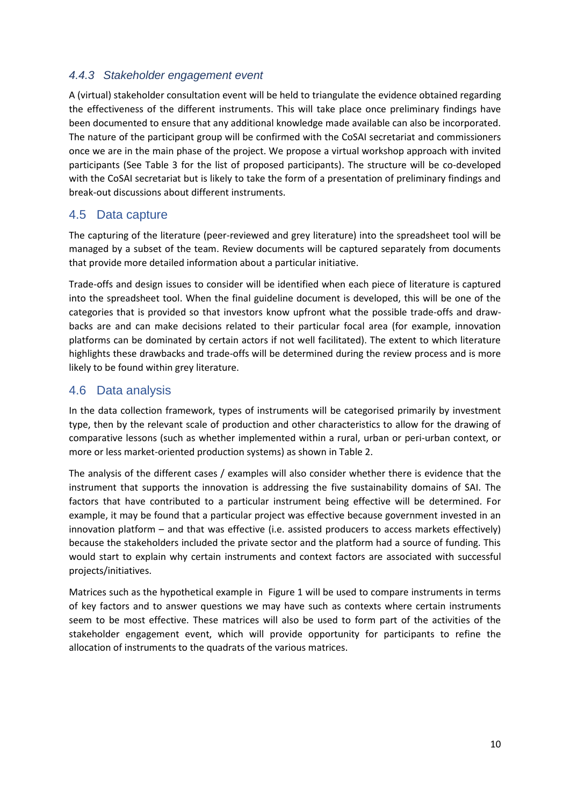#### <span id="page-11-0"></span>*4.4.3 Stakeholder engagement event*

A (virtual) stakeholder consultation event will be held to triangulate the evidence obtained regarding the effectiveness of the different instruments. This will take place once preliminary findings have been documented to ensure that any additional knowledge made available can also be incorporated. The nature of the participant group will be confirmed with the CoSAI secretariat and commissioners once we are in the main phase of the project. We propose a virtual workshop approach with invited participants (See [Table 3](#page-8-2) for the list of proposed participants). The structure will be co-developed with the CoSAI secretariat but is likely to take the form of a presentation of preliminary findings and break-out discussions about different instruments.

#### <span id="page-11-1"></span>4.5 Data capture

The capturing of the literature (peer-reviewed and grey literature) into the spreadsheet tool will be managed by a subset of the team. Review documents will be captured separately from documents that provide more detailed information about a particular initiative.

Trade-offs and design issues to consider will be identified when each piece of literature is captured into the spreadsheet tool. When the final guideline document is developed, this will be one of the categories that is provided so that investors know upfront what the possible trade-offs and drawbacks are and can make decisions related to their particular focal area (for example, innovation platforms can be dominated by certain actors if not well facilitated). The extent to which literature highlights these drawbacks and trade-offs will be determined during the review process and is more likely to be found within grey literature.

#### <span id="page-11-2"></span>4.6 Data analysis

In the data collection framework, types of instruments will be categorised primarily by investment type, then by the relevant scale of production and other characteristics to allow for the drawing of comparative lessons (such as whether implemented within a rural, urban or peri-urban context, or more or less market-oriented production systems) as shown i[n Table 2.](#page-7-0)

The analysis of the different cases / examples will also consider whether there is evidence that the instrument that supports the innovation is addressing the five sustainability domains of SAI. The factors that have contributed to a particular instrument being effective will be determined. For example, it may be found that a particular project was effective because government invested in an innovation platform – and that was effective (i.e. assisted producers to access markets effectively) because the stakeholders included the private sector and the platform had a source of funding. This would start to explain why certain instruments and context factors are associated with successful projects/initiatives.

Matrices such as the hypothetical example in [Figure 1](#page-12-1) will be used to compare instruments in terms of key factors and to answer questions we may have such as contexts where certain instruments seem to be most effective. These matrices will also be used to form part of the activities of the stakeholder engagement event, which will provide opportunity for participants to refine the allocation of instruments to the quadrats of the various matrices.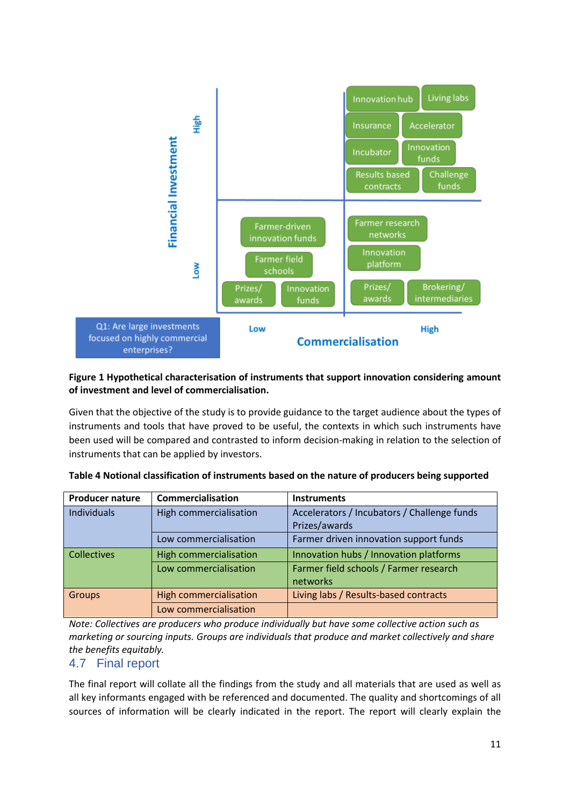

#### <span id="page-12-1"></span>**Figure 1 Hypothetical characterisation of instruments that support innovation considering amount of investment and level of commercialisation.**

Given that the objective of the study is to provide guidance to the target audience about the types of instruments and tools that have proved to be useful, the contexts in which such instruments have been used will be compared and contrasted to inform decision-making in relation to the selection of instruments that can be applied by investors.

| <b>Producer nature</b> | Commercialisation             | <b>Instruments</b>                          |
|------------------------|-------------------------------|---------------------------------------------|
| Individuals            | High commercialisation        | Accelerators / Incubators / Challenge funds |
|                        |                               | Prizes/awards                               |
|                        | Low commercialisation         | Farmer driven innovation support funds      |
| <b>Collectives</b>     | <b>High commercialisation</b> | Innovation hubs / Innovation platforms      |
|                        | Low commercialisation         | Farmer field schools / Farmer research      |
|                        |                               | networks                                    |
| Groups                 | <b>High commercialisation</b> | Living labs / Results-based contracts       |
|                        | Low commercialisation         |                                             |

<span id="page-12-2"></span>**Table 4 Notional classification of instruments based on the nature of producers being supported**

*Note: Collectives are producers who produce individually but have some collective action such as marketing or sourcing inputs. Groups are individuals that produce and market collectively and share the benefits equitably.* 

#### <span id="page-12-0"></span>4.7 Final report

The final report will collate all the findings from the study and all materials that are used as well as all key informants engaged with be referenced and documented. The quality and shortcomings of all sources of information will be clearly indicated in the report. The report will clearly explain the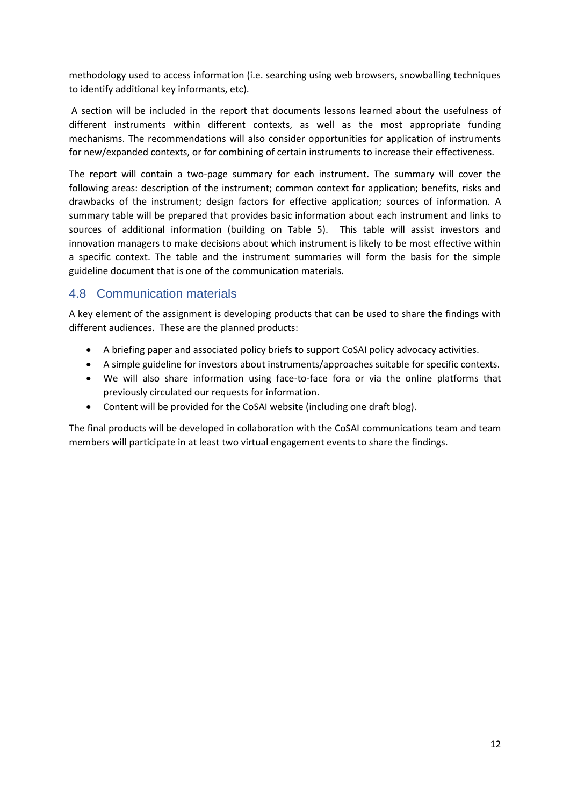methodology used to access information (i.e. searching using web browsers, snowballing techniques to identify additional key informants, etc).

A section will be included in the report that documents lessons learned about the usefulness of different instruments within different contexts, as well as the most appropriate funding mechanisms. The recommendations will also consider opportunities for application of instruments for new/expanded contexts, or for combining of certain instruments to increase their effectiveness.

The report will contain a two-page summary for each instrument. The summary will cover the following areas: description of the instrument; common context for application; benefits, risks and drawbacks of the instrument; design factors for effective application; sources of information. A summary table will be prepared that provides basic information about each instrument and links to sources of additional information (building on [Table 5\)](#page-14-0). This table will assist investors and innovation managers to make decisions about which instrument is likely to be most effective within a specific context. The table and the instrument summaries will form the basis for the simple guideline document that is one of the communication materials.

### <span id="page-13-0"></span>4.8 Communication materials

A key element of the assignment is developing products that can be used to share the findings with different audiences. These are the planned products:

- A briefing paper and associated policy briefs to support CoSAI policy advocacy activities.
- A simple guideline for investors about instruments/approaches suitable for specific contexts.
- We will also share information using face-to-face fora or via the online platforms that previously circulated our requests for information.
- Content will be provided for the CoSAI website (including one draft blog).

The final products will be developed in collaboration with the CoSAI communications team and team members will participate in at least two virtual engagement events to share the findings.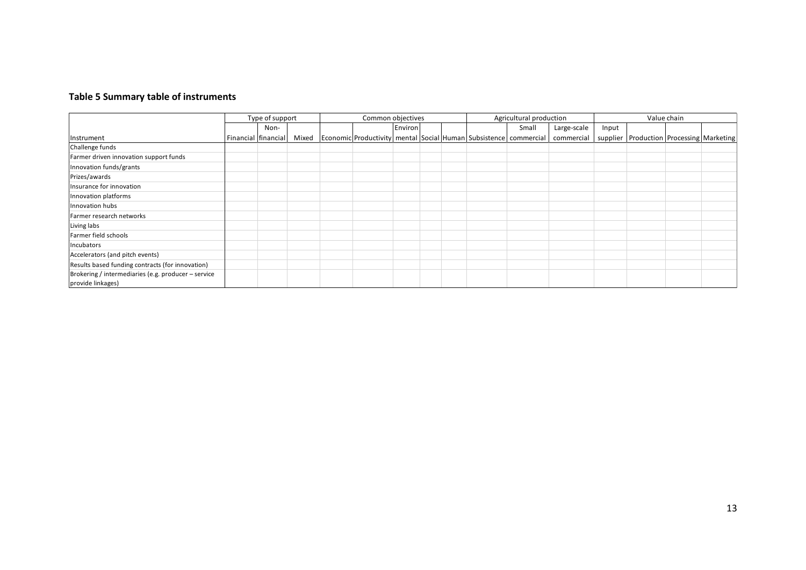#### **Table 5 Summary table of instruments**

<span id="page-14-0"></span>

|                                                                          | Type of support     | Common objectives |  | Agricultural production |  |  | Value chain                                                                        |             |       |                                                |  |  |
|--------------------------------------------------------------------------|---------------------|-------------------|--|-------------------------|--|--|------------------------------------------------------------------------------------|-------------|-------|------------------------------------------------|--|--|
|                                                                          | Non-                |                   |  | Environ                 |  |  | Small                                                                              | Large-scale | Input |                                                |  |  |
| Instrument                                                               | Financial financial |                   |  |                         |  |  | Mixed   Economic Productivity   mental   Social   Human   Subsistence   commercial | commercial  |       | supplier   Production   Processing   Marketing |  |  |
| Challenge funds                                                          |                     |                   |  |                         |  |  |                                                                                    |             |       |                                                |  |  |
| Farmer driven innovation support funds                                   |                     |                   |  |                         |  |  |                                                                                    |             |       |                                                |  |  |
| Innovation funds/grants                                                  |                     |                   |  |                         |  |  |                                                                                    |             |       |                                                |  |  |
| Prizes/awards                                                            |                     |                   |  |                         |  |  |                                                                                    |             |       |                                                |  |  |
| Insurance for innovation                                                 |                     |                   |  |                         |  |  |                                                                                    |             |       |                                                |  |  |
| Innovation platforms                                                     |                     |                   |  |                         |  |  |                                                                                    |             |       |                                                |  |  |
| Innovation hubs                                                          |                     |                   |  |                         |  |  |                                                                                    |             |       |                                                |  |  |
| Farmer research networks                                                 |                     |                   |  |                         |  |  |                                                                                    |             |       |                                                |  |  |
| Living labs                                                              |                     |                   |  |                         |  |  |                                                                                    |             |       |                                                |  |  |
| Farmer field schools                                                     |                     |                   |  |                         |  |  |                                                                                    |             |       |                                                |  |  |
| Incubators                                                               |                     |                   |  |                         |  |  |                                                                                    |             |       |                                                |  |  |
| Accelerators (and pitch events)                                          |                     |                   |  |                         |  |  |                                                                                    |             |       |                                                |  |  |
| Results based funding contracts (for innovation)                         |                     |                   |  |                         |  |  |                                                                                    |             |       |                                                |  |  |
| Brokering / intermediaries (e.g. producer - service<br>provide linkages) |                     |                   |  |                         |  |  |                                                                                    |             |       |                                                |  |  |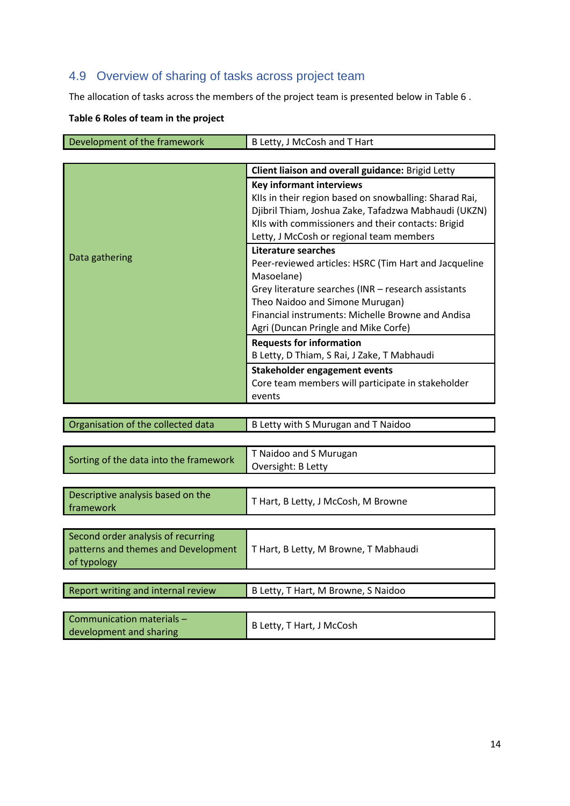### <span id="page-15-0"></span>4.9 Overview of sharing of tasks across project team

The allocation of tasks across the members of the project team is presented below i[n Table 6](#page-15-1) .

#### <span id="page-15-1"></span>**Table 6 Roles of team in the project**

| Development of the framework | B Letty, J McCosh and T Hart                           |  |  |  |
|------------------------------|--------------------------------------------------------|--|--|--|
|                              |                                                        |  |  |  |
|                              | Client liaison and overall guidance: Brigid Letty      |  |  |  |
|                              | <b>Key informant interviews</b>                        |  |  |  |
|                              | KIIs in their region based on snowballing: Sharad Rai, |  |  |  |
|                              | Djibril Thiam, Joshua Zake, Tafadzwa Mabhaudi (UKZN)   |  |  |  |
|                              | KIIs with commissioners and their contacts: Brigid     |  |  |  |
|                              | Letty, J McCosh or regional team members               |  |  |  |
|                              | Literature searches                                    |  |  |  |
| Data gathering               | Peer-reviewed articles: HSRC (Tim Hart and Jacqueline  |  |  |  |
|                              | Masoelane)                                             |  |  |  |
|                              | Grey literature searches (INR - research assistants    |  |  |  |
|                              | Theo Naidoo and Simone Murugan)                        |  |  |  |
|                              | Financial instruments: Michelle Browne and Andisa      |  |  |  |
|                              | Agri (Duncan Pringle and Mike Corfe)                   |  |  |  |
|                              | <b>Requests for information</b>                        |  |  |  |
|                              | B Letty, D Thiam, S Rai, J Zake, T Mabhaudi            |  |  |  |
|                              | Stakeholder engagement events                          |  |  |  |
|                              | Core team members will participate in stakeholder      |  |  |  |
|                              | events                                                 |  |  |  |
|                              |                                                        |  |  |  |

| Organisation of the collected data     | B Letty with S Murugan and T Naidoo   |
|----------------------------------------|---------------------------------------|
|                                        |                                       |
| Sorting of the data into the framework | T Naidoo and S Murugan                |
|                                        | Oversight: B Letty                    |
|                                        |                                       |
| Descriptive analysis based on the      | T Hart, B Letty, J McCosh, M Browne   |
| framework                              |                                       |
|                                        |                                       |
| Second order analysis of recurring     |                                       |
| patterns and themes and Development    | T Hart, B Letty, M Browne, T Mabhaudi |
| of typology                            |                                       |
|                                        |                                       |
| Report writing and internal review     | B Letty, T Hart, M Browne, S Naidoo   |
|                                        |                                       |
| Communication materials -              | B Letty, T Hart, J McCosh             |
| development and sharing                |                                       |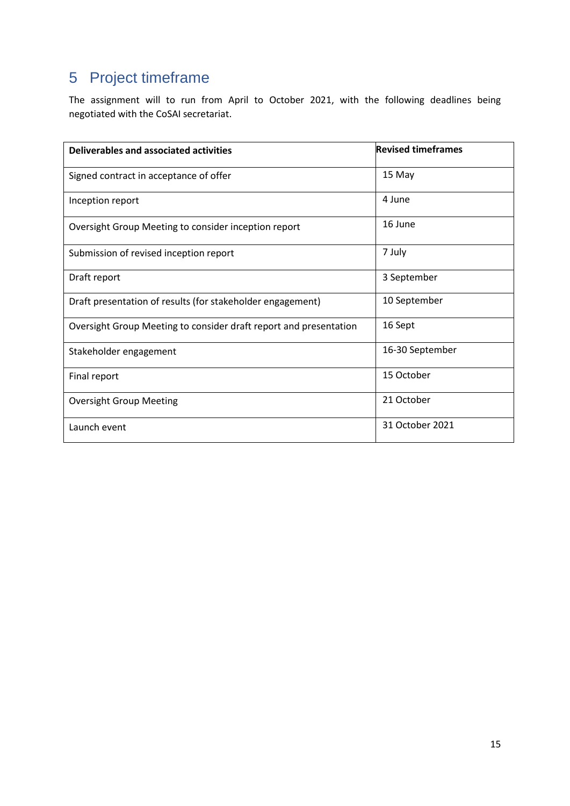## <span id="page-16-0"></span>5 Project timeframe

The assignment will to run from April to October 2021, with the following deadlines being negotiated with the CoSAI secretariat.

| Deliverables and associated activities                            | <b>Revised timeframes</b> |
|-------------------------------------------------------------------|---------------------------|
| Signed contract in acceptance of offer                            | 15 May                    |
| Inception report                                                  | 4 June                    |
| Oversight Group Meeting to consider inception report              | 16 June                   |
| Submission of revised inception report                            | 7 July                    |
| Draft report                                                      | 3 September               |
| Draft presentation of results (for stakeholder engagement)        | 10 September              |
| Oversight Group Meeting to consider draft report and presentation | 16 Sept                   |
| Stakeholder engagement                                            | 16-30 September           |
| Final report                                                      | 15 October                |
| <b>Oversight Group Meeting</b>                                    | 21 October                |
| Launch event                                                      | 31 October 2021           |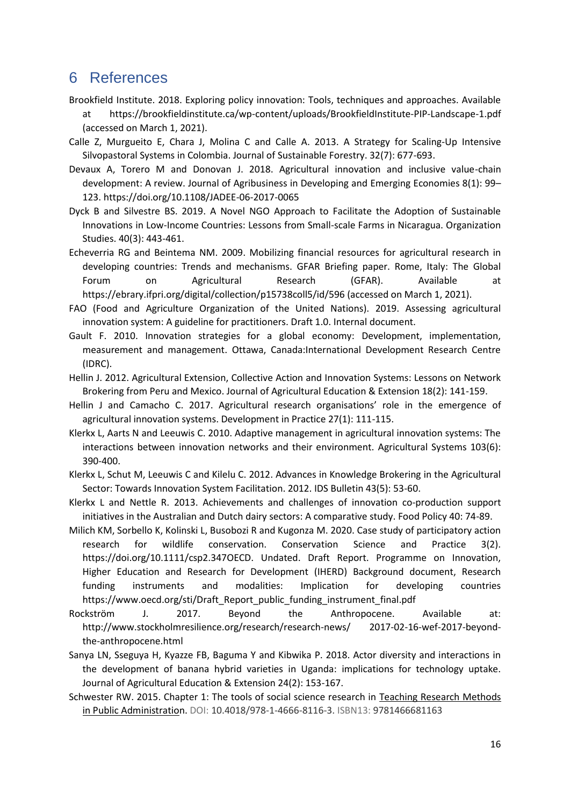### <span id="page-17-0"></span>6 References

- Brookfield Institute. 2018. Exploring policy innovation: Tools, techniques and approaches. Available at https://brookfieldinstitute.ca/wp-content/uploads/BrookfieldInstitute-PIP-Landscape-1.pdf (accessed on March 1, 2021).
- Calle Z, Murgueito E, Chara J, Molina C and Calle A. 2013. A Strategy for Scaling-Up Intensive Silvopastoral Systems in Colombia. Journal of Sustainable Forestry. 32(7): 677-693.
- Devaux A, Torero M and Donovan J. 2018. Agricultural innovation and inclusive value-chain development: A review. Journal of Agribusiness in Developing and Emerging Economies 8(1): 99– 123. https://doi.org/10.1108/JADEE-06-2017-0065
- Dyck B and Silvestre BS. 2019. A Novel NGO Approach to Facilitate the Adoption of Sustainable Innovations in Low-Income Countries: Lessons from Small-scale Farms in Nicaragua. Organization Studies. 40(3): 443-461.
- Echeverria RG and Beintema NM. 2009. Mobilizing financial resources for agricultural research in developing countries: Trends and mechanisms. GFAR Briefing paper. Rome, Italy: The Global Forum on Agricultural Research (GFAR). Available at https://ebrary.ifpri.org/digital/collection/p15738coll5/id/596 (accessed on March 1, 2021).
- FAO (Food and Agriculture Organization of the United Nations). 2019. Assessing agricultural innovation system: A guideline for practitioners. Draft 1.0. Internal document.
- Gault F. 2010. Innovation strategies for a global economy: Development, implementation, measurement and management. Ottawa, Canada:International Development Research Centre (IDRC).
- Hellin J. 2012. Agricultural Extension, Collective Action and Innovation Systems: Lessons on Network Brokering from Peru and Mexico. Journal of Agricultural Education & Extension 18(2): 141-159.
- Hellin J and Camacho C. 2017. Agricultural research organisations' role in the emergence of agricultural innovation systems. Development in Practice 27(1): 111-115.
- Klerkx L, Aarts N and Leeuwis C. 2010. Adaptive management in agricultural innovation systems: The interactions between innovation networks and their environment. Agricultural Systems 103(6): 390-400.
- Klerkx L, Schut M, Leeuwis C and Kilelu C. 2012. Advances in Knowledge Brokering in the Agricultural Sector: Towards Innovation System Facilitation. 2012. IDS Bulletin 43(5): 53-60.
- Klerkx L and Nettle R. 2013. Achievements and challenges of innovation co-production support initiatives in the Australian and Dutch dairy sectors: A comparative study. Food Policy 40: 74-89.
- Milich KM, Sorbello K, Kolinski L, Busobozi R and Kugonza M. 2020. Case study of participatory action research for wildlife conservation. Conservation Science and Practice 3(2). https://doi.org/10.1111/csp2.347OECD. Undated. Draft Report. Programme on Innovation, Higher Education and Research for Development (IHERD) Background document, Research funding instruments and modalities: Implication for developing countries https://www.oecd.org/sti/Draft\_Report\_public\_funding\_instrument\_final.pdf
- Rockström J. 2017. Beyond the Anthropocene. Available at: http://www.stockholmresilience.org/research/research-news/ 2017-02-16-wef-2017-beyondthe-anthropocene.html
- Sanya LN, Sseguya H, Kyazze FB, Baguma Y and Kibwika P. 2018. Actor diversity and interactions in the development of banana hybrid varieties in Uganda: implications for technology uptake. Journal of Agricultural Education & Extension 24(2): 153-167.
- Schwester RW. 2015. Chapter 1: The tools of social science research in Teaching Research Methods in Public Administration. DOI: 10.4018/978-1-4666-8116-3. ISBN13: 9781466681163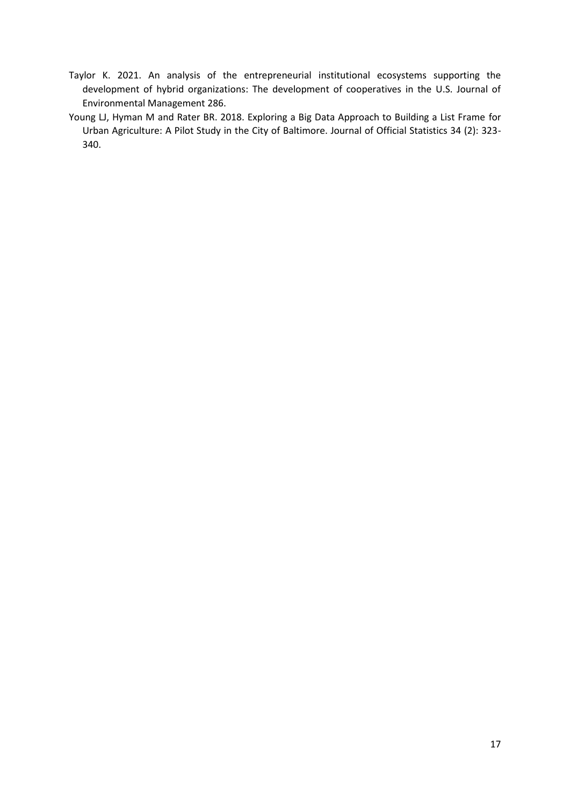- Taylor K. 2021. An analysis of the entrepreneurial institutional ecosystems supporting the development of hybrid organizations: The development of cooperatives in the U.S. Journal of Environmental Management 286.
- Young LJ, Hyman M and Rater BR. 2018. Exploring a Big Data Approach to Building a List Frame for Urban Agriculture: A Pilot Study in the City of Baltimore. Journal of Official Statistics 34 (2): 323- 340.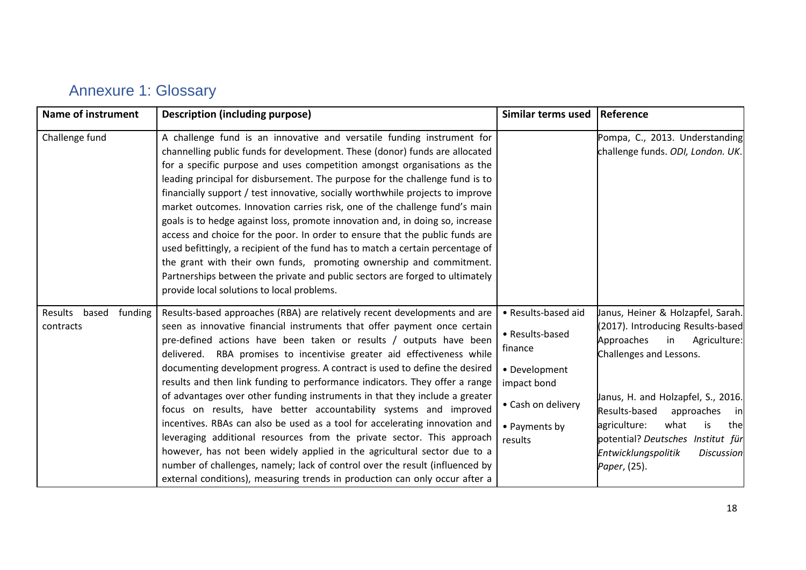| <b>Annexure 1: Glossary</b> |  |  |  |
|-----------------------------|--|--|--|
|-----------------------------|--|--|--|

<span id="page-19-0"></span>

| <b>Name of instrument</b>                | <b>Description (including purpose)</b>                                                                                                                                                                                                                                                                                                                                                                                                                                                                                                                                                                                                                                                                                                                                                                                                                                                                                                                                                                                     | Similar terms used                                                                                                                  | Reference                                                                                                                                                                                                                                                                                                                                                     |
|------------------------------------------|----------------------------------------------------------------------------------------------------------------------------------------------------------------------------------------------------------------------------------------------------------------------------------------------------------------------------------------------------------------------------------------------------------------------------------------------------------------------------------------------------------------------------------------------------------------------------------------------------------------------------------------------------------------------------------------------------------------------------------------------------------------------------------------------------------------------------------------------------------------------------------------------------------------------------------------------------------------------------------------------------------------------------|-------------------------------------------------------------------------------------------------------------------------------------|---------------------------------------------------------------------------------------------------------------------------------------------------------------------------------------------------------------------------------------------------------------------------------------------------------------------------------------------------------------|
| Challenge fund                           | A challenge fund is an innovative and versatile funding instrument for<br>channelling public funds for development. These (donor) funds are allocated<br>for a specific purpose and uses competition amongst organisations as the<br>leading principal for disbursement. The purpose for the challenge fund is to<br>financially support / test innovative, socially worthwhile projects to improve<br>market outcomes. Innovation carries risk, one of the challenge fund's main<br>goals is to hedge against loss, promote innovation and, in doing so, increase<br>access and choice for the poor. In order to ensure that the public funds are<br>used befittingly, a recipient of the fund has to match a certain percentage of<br>the grant with their own funds, promoting ownership and commitment.<br>Partnerships between the private and public sectors are forged to ultimately<br>provide local solutions to local problems.                                                                                  |                                                                                                                                     | Pompa, C., 2013. Understanding<br>challenge funds. ODI, London. UK.                                                                                                                                                                                                                                                                                           |
| based<br>Results<br>funding<br>contracts | Results-based approaches (RBA) are relatively recent developments and are<br>seen as innovative financial instruments that offer payment once certain<br>pre-defined actions have been taken or results / outputs have been<br>delivered. RBA promises to incentivise greater aid effectiveness while<br>documenting development progress. A contract is used to define the desired<br>results and then link funding to performance indicators. They offer a range<br>of advantages over other funding instruments in that they include a greater<br>focus on results, have better accountability systems and improved<br>incentives. RBAs can also be used as a tool for accelerating innovation and<br>leveraging additional resources from the private sector. This approach<br>however, has not been widely applied in the agricultural sector due to a<br>number of challenges, namely; lack of control over the result (influenced by<br>external conditions), measuring trends in production can only occur after a | • Results-based aid<br>• Results-based<br>finance<br>• Development<br>impact bond<br>• Cash on delivery<br>• Payments by<br>results | Janus, Heiner & Holzapfel, Sarah.<br>(2017). Introducing Results-based<br>Approaches<br>in<br>Agriculture:<br>Challenges and Lessons.<br>Janus, H. and Holzapfel, S., 2016.<br>Results-based<br>approaches<br>in<br>what<br>agriculture:<br>is<br>the<br>potential? Deutsches Institut für<br><b>Entwicklungspolitik</b><br><b>Discussion</b><br>Paper, (25). |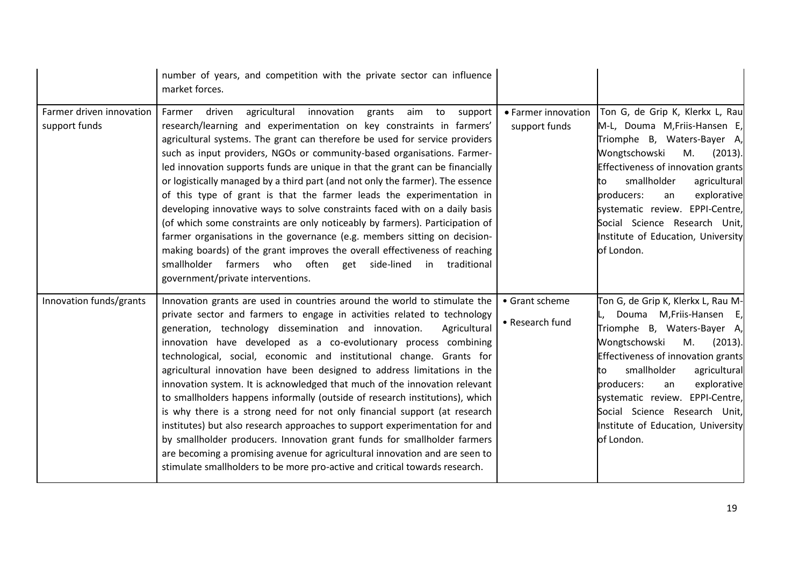|                                           | number of years, and competition with the private sector can influence<br>market forces.                                                                                                                                                                                                                                                                                                                                                                                                                                                                                                                                                                                                                                                                                                                                                                                                                                                                                                                                  |                                      |                                                                                                                                                                                                                                                                                                                                                                         |
|-------------------------------------------|---------------------------------------------------------------------------------------------------------------------------------------------------------------------------------------------------------------------------------------------------------------------------------------------------------------------------------------------------------------------------------------------------------------------------------------------------------------------------------------------------------------------------------------------------------------------------------------------------------------------------------------------------------------------------------------------------------------------------------------------------------------------------------------------------------------------------------------------------------------------------------------------------------------------------------------------------------------------------------------------------------------------------|--------------------------------------|-------------------------------------------------------------------------------------------------------------------------------------------------------------------------------------------------------------------------------------------------------------------------------------------------------------------------------------------------------------------------|
| Farmer driven innovation<br>support funds | agricultural innovation<br>driven<br>Farmer<br>grants<br>aim to<br>support<br>research/learning and experimentation on key constraints in farmers'<br>agricultural systems. The grant can therefore be used for service providers<br>such as input providers, NGOs or community-based organisations. Farmer-<br>led innovation supports funds are unique in that the grant can be financially<br>or logistically managed by a third part (and not only the farmer). The essence<br>of this type of grant is that the farmer leads the experimentation in<br>developing innovative ways to solve constraints faced with on a daily basis<br>(of which some constraints are only noticeably by farmers). Participation of<br>farmer organisations in the governance (e.g. members sitting on decision-<br>making boards) of the grant improves the overall effectiveness of reaching<br>smallholder farmers who often get side-lined in traditional<br>government/private interventions.                                    | • Farmer innovation<br>support funds | Ton G, de Grip K, Klerkx L, Rau<br>M-L, Douma M, Friis-Hansen E,<br>Triomphe B, Waters-Bayer A,<br>Wongtschowski<br>M.<br>(2013).<br>Effectiveness of innovation grants<br>smallholder<br>agricultural<br>to<br>explorative<br>producers:<br>an<br>systematic review. EPPI-Centre,<br>Social Science Research Unit,<br>Institute of Education, University<br>of London. |
| Innovation funds/grants                   | Innovation grants are used in countries around the world to stimulate the<br>private sector and farmers to engage in activities related to technology<br>generation, technology dissemination and innovation.<br>Agricultural<br>innovation have developed as a co-evolutionary process combining<br>technological, social, economic and institutional change. Grants for<br>agricultural innovation have been designed to address limitations in the<br>innovation system. It is acknowledged that much of the innovation relevant<br>to smallholders happens informally (outside of research institutions), which<br>is why there is a strong need for not only financial support (at research<br>institutes) but also research approaches to support experimentation for and<br>by smallholder producers. Innovation grant funds for smallholder farmers<br>are becoming a promising avenue for agricultural innovation and are seen to<br>stimulate smallholders to be more pro-active and critical towards research. | • Grant scheme<br>• Research fund    | Ton G, de Grip K, Klerkx L, Rau M-<br>Douma M, Friis-Hansen E,<br>Triomphe B, Waters-Bayer A,<br>Wongtschowski<br>M.<br>(2013).<br>Effectiveness of innovation grants<br>smallholder<br>agricultural<br>to<br>producers:<br>explorative<br>an<br>systematic review. EPPI-Centre,<br>Social Science Research Unit,<br>Institute of Education, University<br>of London.   |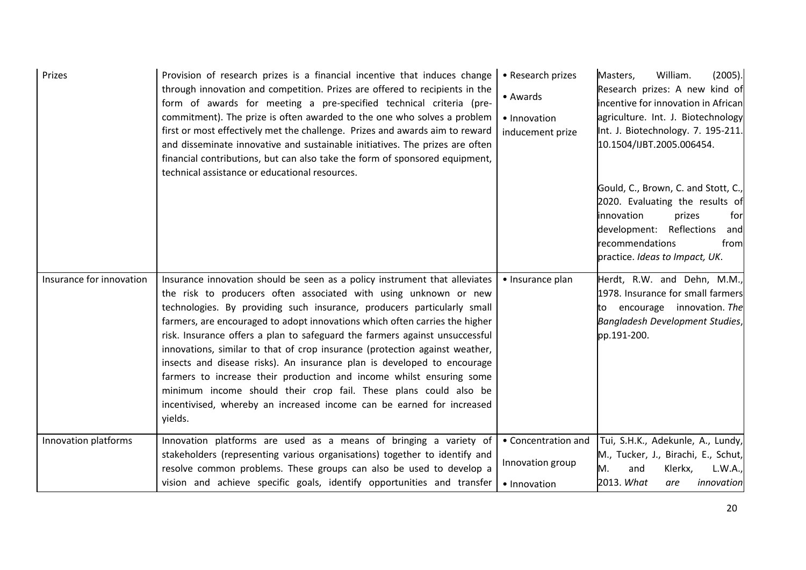| Prizes                   | Provision of research prizes is a financial incentive that induces change<br>through innovation and competition. Prizes are offered to recipients in the<br>form of awards for meeting a pre-specified technical criteria (pre-<br>commitment). The prize is often awarded to the one who solves a problem<br>first or most effectively met the challenge. Prizes and awards aim to reward<br>and disseminate innovative and sustainable initiatives. The prizes are often<br>financial contributions, but can also take the form of sponsored equipment,<br>technical assistance or educational resources.                                                                                                                                                                       | • Research prizes<br>• Awards<br>• Innovation<br>inducement prize | William.<br>(2005).<br>Masters,<br>Research prizes: A new kind of<br>incentive for innovation in African<br>agriculture. Int. J. Biotechnology<br>Int. J. Biotechnology. 7. 195-211.<br>10.1504/IJBT.2005.006454. |
|--------------------------|-----------------------------------------------------------------------------------------------------------------------------------------------------------------------------------------------------------------------------------------------------------------------------------------------------------------------------------------------------------------------------------------------------------------------------------------------------------------------------------------------------------------------------------------------------------------------------------------------------------------------------------------------------------------------------------------------------------------------------------------------------------------------------------|-------------------------------------------------------------------|-------------------------------------------------------------------------------------------------------------------------------------------------------------------------------------------------------------------|
|                          |                                                                                                                                                                                                                                                                                                                                                                                                                                                                                                                                                                                                                                                                                                                                                                                   |                                                                   | Gould, C., Brown, C. and Stott, C.,<br>2020. Evaluating the results of<br>innovation<br>prizes<br>for<br>development: Reflections<br>and<br>recommendations<br>from<br>practice. Ideas to Impact, UK.             |
| Insurance for innovation | Insurance innovation should be seen as a policy instrument that alleviates<br>the risk to producers often associated with using unknown or new<br>technologies. By providing such insurance, producers particularly small<br>farmers, are encouraged to adopt innovations which often carries the higher<br>risk. Insurance offers a plan to safeguard the farmers against unsuccessful<br>innovations, similar to that of crop insurance (protection against weather,<br>insects and disease risks). An insurance plan is developed to encourage<br>farmers to increase their production and income whilst ensuring some<br>minimum income should their crop fail. These plans could also be<br>incentivised, whereby an increased income can be earned for increased<br>yields. | • Insurance plan                                                  | Herdt, R.W. and Dehn, M.M.,<br>1978. Insurance for small farmers<br>to encourage innovation. The<br>Bangladesh Development Studies,<br>pp.191-200.                                                                |
| Innovation platforms     | Innovation platforms are used as a means of bringing a variety of<br>stakeholders (representing various organisations) together to identify and<br>resolve common problems. These groups can also be used to develop a<br>vision and achieve specific goals, identify opportunities and transfer                                                                                                                                                                                                                                                                                                                                                                                                                                                                                  | • Concentration and<br>Innovation group<br>• Innovation           | Tui, S.H.K., Adekunle, A., Lundy,<br>M., Tucker, J., Birachi, E., Schut,<br>M.<br>L.W.A.,<br>and<br>Klerkx,<br>2013. What<br>innovation<br>are                                                                    |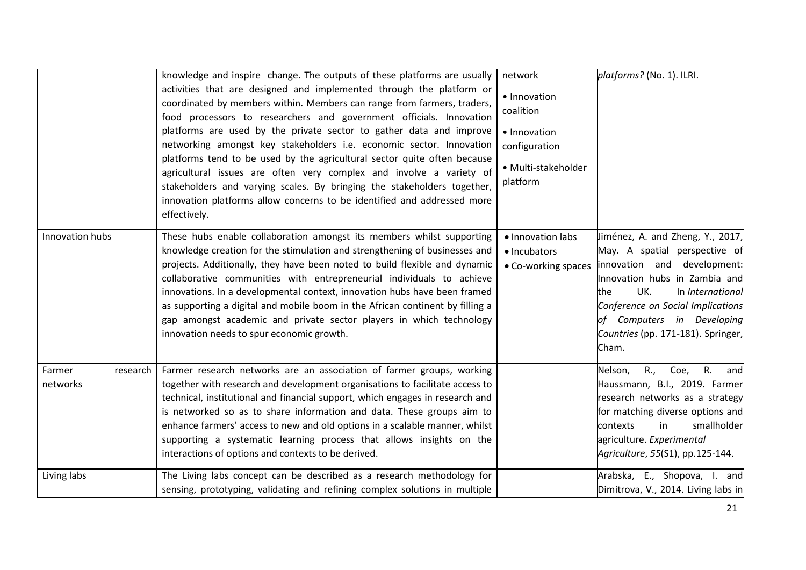|                                | knowledge and inspire change. The outputs of these platforms are usually<br>activities that are designed and implemented through the platform or<br>coordinated by members within. Members can range from farmers, traders,<br>food processors to researchers and government officials. Innovation<br>platforms are used by the private sector to gather data and improve<br>networking amongst key stakeholders i.e. economic sector. Innovation<br>platforms tend to be used by the agricultural sector quite often because<br>agricultural issues are often very complex and involve a variety of<br>stakeholders and varying scales. By bringing the stakeholders together,<br>innovation platforms allow concerns to be identified and addressed more<br>effectively. | network<br>• Innovation<br>coalition<br>• Innovation<br>configuration<br>· Multi-stakeholder<br>platform | platforms? (No. 1). ILRI.                                                                                                                                                                                                                                                             |
|--------------------------------|----------------------------------------------------------------------------------------------------------------------------------------------------------------------------------------------------------------------------------------------------------------------------------------------------------------------------------------------------------------------------------------------------------------------------------------------------------------------------------------------------------------------------------------------------------------------------------------------------------------------------------------------------------------------------------------------------------------------------------------------------------------------------|----------------------------------------------------------------------------------------------------------|---------------------------------------------------------------------------------------------------------------------------------------------------------------------------------------------------------------------------------------------------------------------------------------|
| Innovation hubs                | These hubs enable collaboration amongst its members whilst supporting<br>knowledge creation for the stimulation and strengthening of businesses and<br>projects. Additionally, they have been noted to build flexible and dynamic<br>collaborative communities with entrepreneurial individuals to achieve<br>innovations. In a developmental context, innovation hubs have been framed<br>as supporting a digital and mobile boom in the African continent by filling a<br>gap amongst academic and private sector players in which technology<br>innovation needs to spur economic growth.                                                                                                                                                                               | · Innovation labs<br>· Incubators<br>• Co-working spaces                                                 | Jiménez, A. and Zheng, Y., 2017,<br>May. A spatial perspective of<br>innovation and development:<br>Innovation hubs in Zambia and<br>UK.<br>In International<br>the<br>Conference on Social Implications<br>of Computers in Developing<br>Countries (pp. 171-181). Springer,<br>Cham. |
| Farmer<br>research<br>networks | Farmer research networks are an association of farmer groups, working<br>together with research and development organisations to facilitate access to<br>technical, institutional and financial support, which engages in research and<br>is networked so as to share information and data. These groups aim to<br>enhance farmers' access to new and old options in a scalable manner, whilst<br>supporting a systematic learning process that allows insights on the<br>interactions of options and contexts to be derived.                                                                                                                                                                                                                                              |                                                                                                          | R.,<br>Coe,<br>$\overline{R}$ .<br>Nelson,<br>and<br>Haussmann, B.I., 2019. Farmer<br>research networks as a strategy<br>for matching diverse options and<br>smallholder<br>contexts<br>in<br>agriculture. Experimental<br>Agriculture, 55(S1), pp.125-144.                           |
| Living labs                    | The Living labs concept can be described as a research methodology for<br>sensing, prototyping, validating and refining complex solutions in multiple                                                                                                                                                                                                                                                                                                                                                                                                                                                                                                                                                                                                                      |                                                                                                          | Arabska, E., Shopova, I. and<br>Dimitrova, V., 2014. Living labs in                                                                                                                                                                                                                   |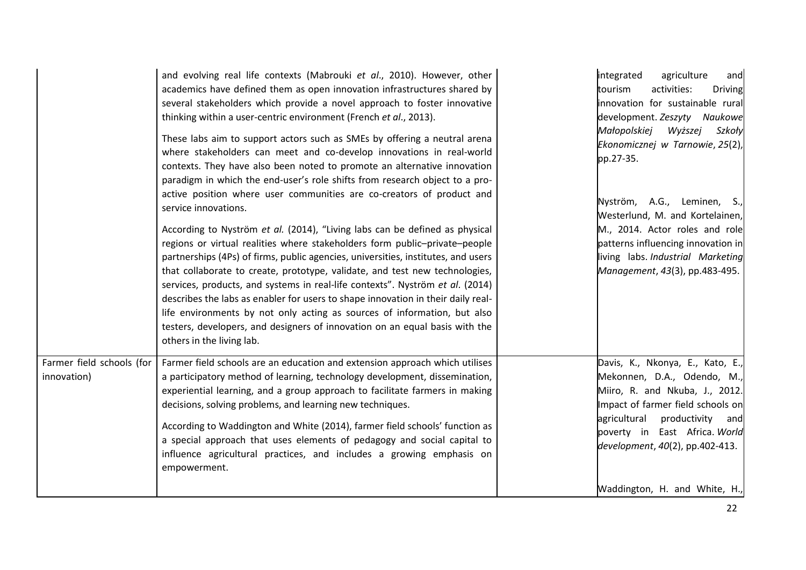|                                          | and evolving real life contexts (Mabrouki et al., 2010). However, other<br>academics have defined them as open innovation infrastructures shared by<br>several stakeholders which provide a novel approach to foster innovative<br>thinking within a user-centric environment (French et al., 2013).<br>These labs aim to support actors such as SMEs by offering a neutral arena<br>where stakeholders can meet and co-develop innovations in real-world<br>contexts. They have also been noted to promote an alternative innovation<br>paradigm in which the end-user's role shifts from research object to a pro-<br>active position where user communities are co-creators of product and<br>service innovations.<br>According to Nyström et al. (2014), "Living labs can be defined as physical<br>regions or virtual realities where stakeholders form public-private-people<br>partnerships (4Ps) of firms, public agencies, universities, institutes, and users<br>that collaborate to create, prototype, validate, and test new technologies,<br>services, products, and systems in real-life contexts". Nyström et al. (2014)<br>describes the labs as enabler for users to shape innovation in their daily real-<br>life environments by not only acting as sources of information, but also<br>testers, developers, and designers of innovation on an equal basis with the<br>others in the living lab. | integrated<br>agriculture<br>and<br>activities:<br>tourism<br><b>Driving</b><br>innovation for sustainable rural<br>development. Zeszyty Naukowe<br>Małopolskiej<br>Wyższej<br>Szkoły<br>Ekonomicznej w Tarnowie, 25(2),<br>pp.27-35.<br>Nyström, A.G., Leminen, S.,<br>Westerlund, M. and Kortelainen,<br>M., 2014. Actor roles and role<br>patterns influencing innovation in<br>living labs. Industrial Marketing<br>Management, 43(3), pp.483-495. |
|------------------------------------------|---------------------------------------------------------------------------------------------------------------------------------------------------------------------------------------------------------------------------------------------------------------------------------------------------------------------------------------------------------------------------------------------------------------------------------------------------------------------------------------------------------------------------------------------------------------------------------------------------------------------------------------------------------------------------------------------------------------------------------------------------------------------------------------------------------------------------------------------------------------------------------------------------------------------------------------------------------------------------------------------------------------------------------------------------------------------------------------------------------------------------------------------------------------------------------------------------------------------------------------------------------------------------------------------------------------------------------------------------------------------------------------------------------------------|--------------------------------------------------------------------------------------------------------------------------------------------------------------------------------------------------------------------------------------------------------------------------------------------------------------------------------------------------------------------------------------------------------------------------------------------------------|
| Farmer field schools (for<br>innovation) | Farmer field schools are an education and extension approach which utilises<br>a participatory method of learning, technology development, dissemination,<br>experiential learning, and a group approach to facilitate farmers in making<br>decisions, solving problems, and learning new techniques.<br>According to Waddington and White (2014), farmer field schools' function as<br>a special approach that uses elements of pedagogy and social capital to<br>influence agricultural practices, and includes a growing emphasis on<br>empowerment.                                                                                                                                                                                                                                                                                                                                                                                                                                                                                                                                                                                                                                                                                                                                                                                                                                                             | Davis, K., Nkonya, E., Kato, E.,<br>Mekonnen, D.A., Odendo, M.,<br>Miiro, R. and Nkuba, J., 2012.<br>Impact of farmer field schools on<br>agricultural<br>productivity and<br>poverty in East Africa. World<br>development, 40(2), pp.402-413.<br>Waddington, H. and White, H.,                                                                                                                                                                        |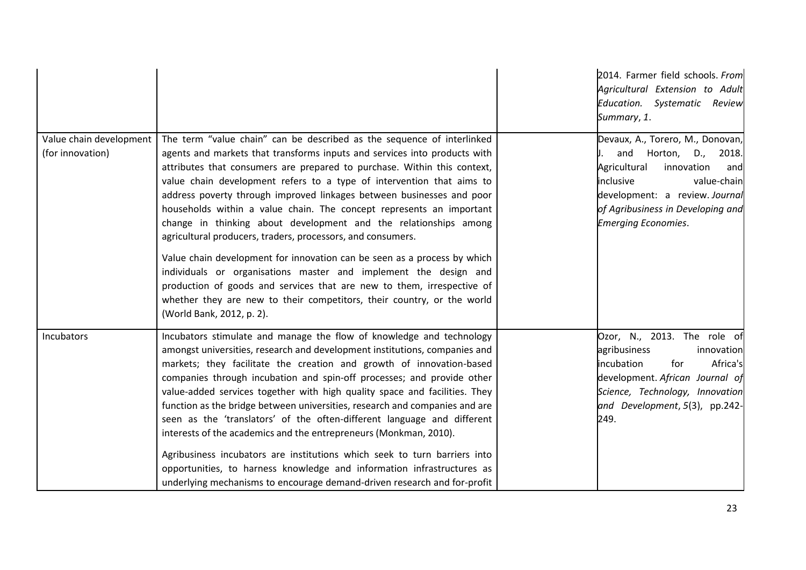|                                             |                                                                                                                                                                                                                                                                                                                                                                                                                                                                                                                                                                                                                                                                                                                                                                                                                                                                                                                               | 2014. Farmer field schools. From<br>Agricultural Extension to Adult<br>Education. Systematic Review<br>Summary, 1.                                                                                                              |
|---------------------------------------------|-------------------------------------------------------------------------------------------------------------------------------------------------------------------------------------------------------------------------------------------------------------------------------------------------------------------------------------------------------------------------------------------------------------------------------------------------------------------------------------------------------------------------------------------------------------------------------------------------------------------------------------------------------------------------------------------------------------------------------------------------------------------------------------------------------------------------------------------------------------------------------------------------------------------------------|---------------------------------------------------------------------------------------------------------------------------------------------------------------------------------------------------------------------------------|
| Value chain development<br>(for innovation) | The term "value chain" can be described as the sequence of interlinked<br>agents and markets that transforms inputs and services into products with<br>attributes that consumers are prepared to purchase. Within this context,<br>value chain development refers to a type of intervention that aims to<br>address poverty through improved linkages between businesses and poor<br>households within a value chain. The concept represents an important<br>change in thinking about development and the relationships among<br>agricultural producers, traders, processors, and consumers.<br>Value chain development for innovation can be seen as a process by which<br>individuals or organisations master and implement the design and<br>production of goods and services that are new to them, irrespective of<br>whether they are new to their competitors, their country, or the world<br>(World Bank, 2012, p. 2). | Devaux, A., Torero, M., Donovan,<br>and Horton, D., 2018.<br>Agricultural<br>innovation<br>and<br>inclusive<br>value-chain<br>development: a review. Journal<br>of Agribusiness in Developing and<br><b>Emerging Economies.</b> |
| Incubators                                  | Incubators stimulate and manage the flow of knowledge and technology<br>amongst universities, research and development institutions, companies and<br>markets; they facilitate the creation and growth of innovation-based<br>companies through incubation and spin-off processes; and provide other<br>value-added services together with high quality space and facilities. They<br>function as the bridge between universities, research and companies and are<br>seen as the 'translators' of the often-different language and different<br>interests of the academics and the entrepreneurs (Monkman, 2010).<br>Agribusiness incubators are institutions which seek to turn barriers into<br>opportunities, to harness knowledge and information infrastructures as<br>underlying mechanisms to encourage demand-driven research and for-profit                                                                          | Ozor, N., 2013. The role of<br>agribusiness<br>innovation<br>incubation<br>Africa's<br>for<br>development. African Journal of<br>Science, Technology, Innovation<br>and Development, 5(3), pp.242-<br>249.                      |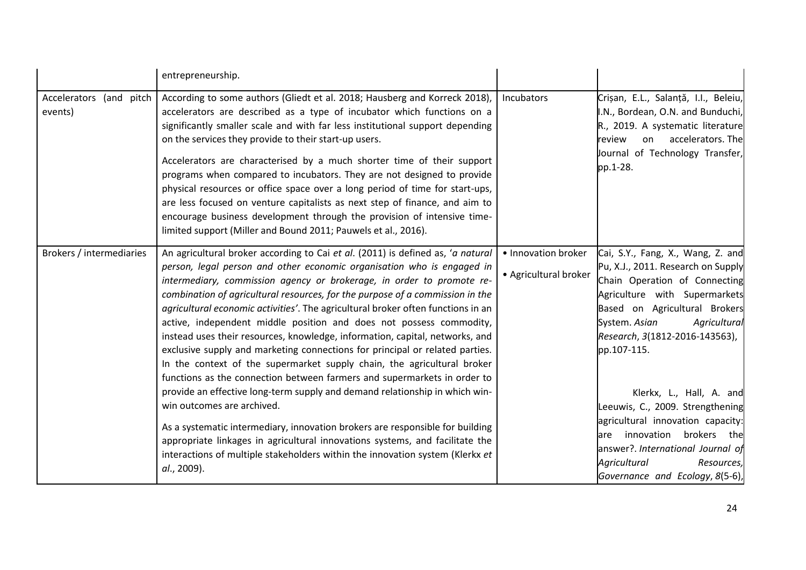|                                       | entrepreneurship.                                                                                                                                                                                                                                                                                                                                                                                                                                                                                                                                                                                                                                                                                                                                                                                                                                                                                                                                                                                                                                                                                                                                                                   |                                              |                                                                                                                                                                                                                                                                                                                                                                                                                                                                                                             |
|---------------------------------------|-------------------------------------------------------------------------------------------------------------------------------------------------------------------------------------------------------------------------------------------------------------------------------------------------------------------------------------------------------------------------------------------------------------------------------------------------------------------------------------------------------------------------------------------------------------------------------------------------------------------------------------------------------------------------------------------------------------------------------------------------------------------------------------------------------------------------------------------------------------------------------------------------------------------------------------------------------------------------------------------------------------------------------------------------------------------------------------------------------------------------------------------------------------------------------------|----------------------------------------------|-------------------------------------------------------------------------------------------------------------------------------------------------------------------------------------------------------------------------------------------------------------------------------------------------------------------------------------------------------------------------------------------------------------------------------------------------------------------------------------------------------------|
| Accelerators (and<br>pitch<br>events) | According to some authors (Gliedt et al. 2018; Hausberg and Korreck 2018),<br>accelerators are described as a type of incubator which functions on a<br>significantly smaller scale and with far less institutional support depending<br>on the services they provide to their start-up users.<br>Accelerators are characterised by a much shorter time of their support<br>programs when compared to incubators. They are not designed to provide<br>physical resources or office space over a long period of time for start-ups,<br>are less focused on venture capitalists as next step of finance, and aim to<br>encourage business development through the provision of intensive time-<br>limited support (Miller and Bound 2011; Pauwels et al., 2016).                                                                                                                                                                                                                                                                                                                                                                                                                      | Incubators                                   | Crișan, E.L., Salanță, I.I., Beleiu,<br>I.N., Bordean, O.N. and Bunduchi,<br>R., 2019. A systematic literature<br>accelerators. The<br>review<br>on<br>Journal of Technology Transfer,<br>pp.1-28.                                                                                                                                                                                                                                                                                                          |
| Brokers / intermediaries              | An agricultural broker according to Cai et al. (2011) is defined as, 'a natural<br>person, legal person and other economic organisation who is engaged in<br>intermediary, commission agency or brokerage, in order to promote re-<br>combination of agricultural resources, for the purpose of a commission in the<br>agricultural economic activities'. The agricultural broker often functions in an<br>active, independent middle position and does not possess commodity,<br>instead uses their resources, knowledge, information, capital, networks, and<br>exclusive supply and marketing connections for principal or related parties.<br>In the context of the supermarket supply chain, the agricultural broker<br>functions as the connection between farmers and supermarkets in order to<br>provide an effective long-term supply and demand relationship in which win-<br>win outcomes are archived.<br>As a systematic intermediary, innovation brokers are responsible for building<br>appropriate linkages in agricultural innovations systems, and facilitate the<br>interactions of multiple stakeholders within the innovation system (Klerkx et<br>al., 2009). | • Innovation broker<br>• Agricultural broker | Cai, S.Y., Fang, X., Wang, Z. and<br>Pu, X.J., 2011. Research on Supply<br>Chain Operation of Connecting<br>Agriculture with Supermarkets<br>Based on Agricultural Brokers<br>System. Asian<br>Agricultural<br>Research, 3(1812-2016-143563),<br>pp.107-115.<br>Klerkx, L., Hall, A. and<br>Leeuwis, C., 2009. Strengthening<br>agricultural innovation capacity:<br>innovation<br>brokers the<br>are<br>answer?. International Journal of<br>Agricultural<br>Resources,<br>Governance and Ecology, 8(5-6), |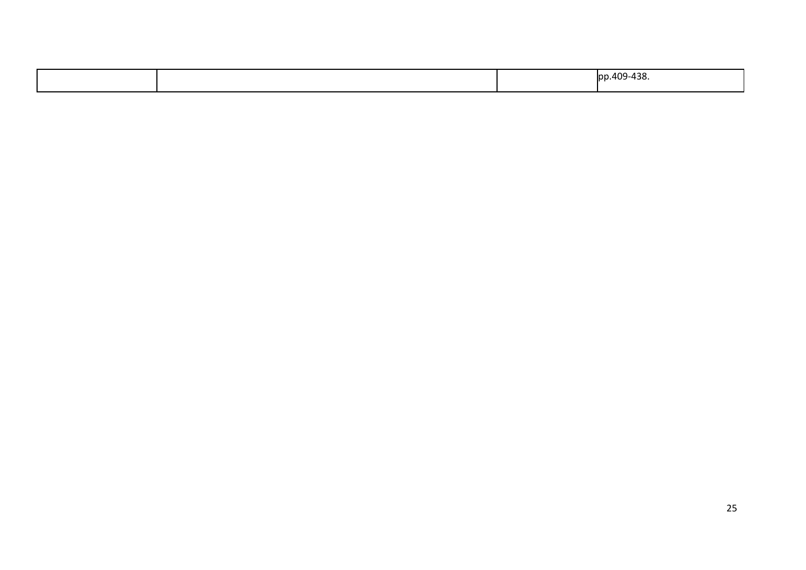|  | 1.409-438.<br>Inn<br>$  -$ |
|--|----------------------------|
|  |                            |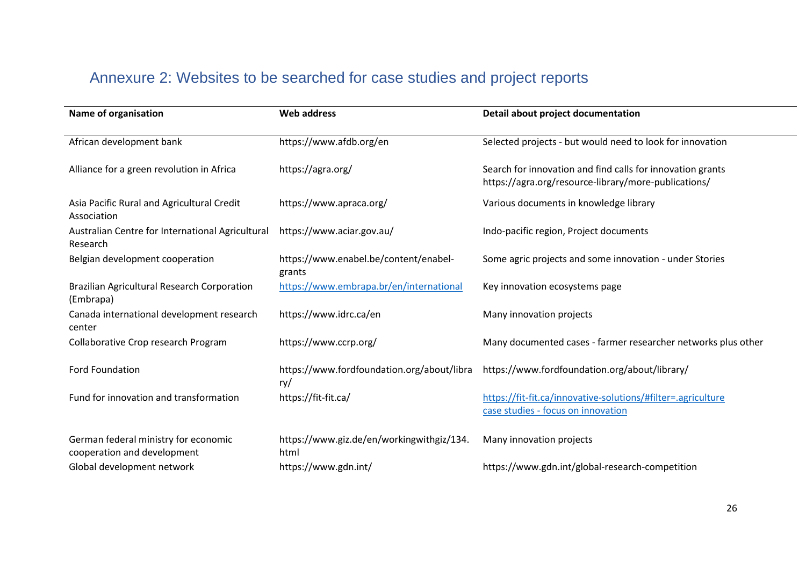## Annexure 2: Websites to be searched for case studies and project reports

<span id="page-27-0"></span>

| Name of organisation                                                | <b>Web address</b>                                | Detail about project documentation                                                                                 |
|---------------------------------------------------------------------|---------------------------------------------------|--------------------------------------------------------------------------------------------------------------------|
| African development bank                                            | https://www.afdb.org/en                           | Selected projects - but would need to look for innovation                                                          |
| Alliance for a green revolution in Africa                           | https://agra.org/                                 | Search for innovation and find calls for innovation grants<br>https://agra.org/resource-library/more-publications/ |
| Asia Pacific Rural and Agricultural Credit<br>Association           | https://www.apraca.org/                           | Various documents in knowledge library                                                                             |
| Australian Centre for International Agricultural<br>Research        | https://www.aciar.gov.au/                         | Indo-pacific region, Project documents                                                                             |
| Belgian development cooperation                                     | https://www.enabel.be/content/enabel-<br>grants   | Some agric projects and some innovation - under Stories                                                            |
| Brazilian Agricultural Research Corporation<br>(Embrapa)            | https://www.embrapa.br/en/international           | Key innovation ecosystems page                                                                                     |
| Canada international development research<br>center                 | https://www.idrc.ca/en                            | Many innovation projects                                                                                           |
| Collaborative Crop research Program                                 | https://www.ccrp.org/                             | Many documented cases - farmer researcher networks plus other                                                      |
| <b>Ford Foundation</b>                                              | https://www.fordfoundation.org/about/libra<br>ry/ | https://www.fordfoundation.org/about/library/                                                                      |
| Fund for innovation and transformation                              | https://fit-fit.ca/                               | https://fit-fit.ca/innovative-solutions/#filter=.agriculture<br>case studies - focus on innovation                 |
| German federal ministry for economic<br>cooperation and development | https://www.giz.de/en/workingwithgiz/134.<br>html | Many innovation projects                                                                                           |
| Global development network                                          | https://www.gdn.int/                              | https://www.gdn.int/global-research-competition                                                                    |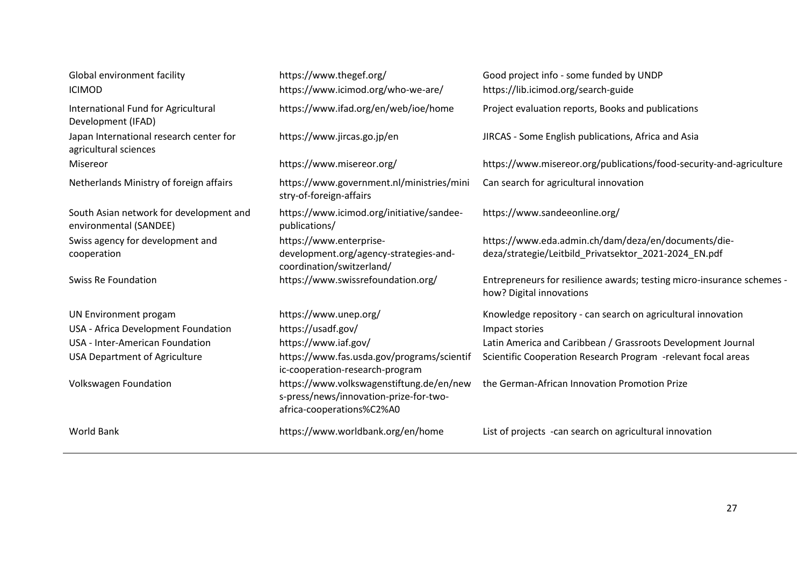# Global environment facility

| Global environment facility                                       | https://www.thegef.org/                                                                                         | Good project info - some funded by UNDP                                                                      |
|-------------------------------------------------------------------|-----------------------------------------------------------------------------------------------------------------|--------------------------------------------------------------------------------------------------------------|
| <b>ICIMOD</b>                                                     | https://www.icimod.org/who-we-are/                                                                              | https://lib.icimod.org/search-guide                                                                          |
| International Fund for Agricultural<br>Development (IFAD)         | https://www.ifad.org/en/web/ioe/home                                                                            | Project evaluation reports, Books and publications                                                           |
| Japan International research center for<br>agricultural sciences  | https://www.jircas.go.jp/en                                                                                     | JIRCAS - Some English publications, Africa and Asia                                                          |
| Misereor                                                          | https://www.misereor.org/                                                                                       | https://www.misereor.org/publications/food-security-and-agriculture                                          |
| Netherlands Ministry of foreign affairs                           | https://www.government.nl/ministries/mini<br>stry-of-foreign-affairs                                            | Can search for agricultural innovation                                                                       |
| South Asian network for development and<br>environmental (SANDEE) | https://www.icimod.org/initiative/sandee-<br>publications/                                                      | https://www.sandeeonline.org/                                                                                |
| Swiss agency for development and<br>cooperation                   | https://www.enterprise-<br>development.org/agency-strategies-and-<br>coordination/switzerland/                  | https://www.eda.admin.ch/dam/deza/en/documents/die-<br>deza/strategie/Leitbild_Privatsektor_2021-2024_EN.pdf |
| <b>Swiss Re Foundation</b>                                        | https://www.swissrefoundation.org/                                                                              | Entrepreneurs for resilience awards; testing micro-insurance schemes -<br>how? Digital innovations           |
| UN Environment progam                                             | https://www.unep.org/                                                                                           | Knowledge repository - can search on agricultural innovation                                                 |
| USA - Africa Development Foundation                               | https://usadf.gov/                                                                                              | Impact stories                                                                                               |
| USA - Inter-American Foundation                                   | https://www.iaf.gov/                                                                                            | Latin America and Caribbean / Grassroots Development Journal                                                 |
| <b>USA Department of Agriculture</b>                              | https://www.fas.usda.gov/programs/scientif<br>ic-cooperation-research-program                                   | Scientific Cooperation Research Program -relevant focal areas                                                |
| <b>Volkswagen Foundation</b>                                      | https://www.volkswagenstiftung.de/en/new<br>s-press/news/innovation-prize-for-two-<br>africa-cooperations%C2%A0 | the German-African Innovation Promotion Prize                                                                |
| World Bank                                                        | https://www.worldbank.org/en/home                                                                               | List of projects - can search on agricultural innovation                                                     |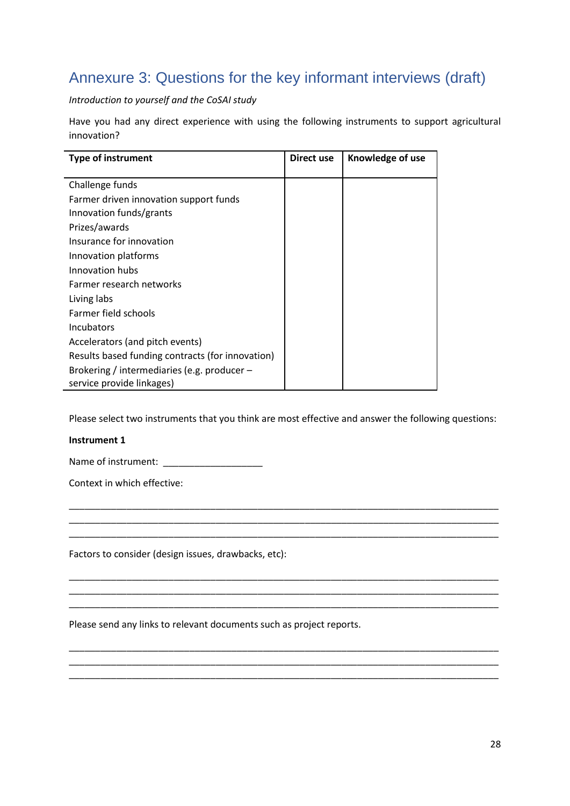## <span id="page-29-0"></span>Annexure 3: Questions for the key informant interviews (draft)

*Introduction to yourself and the CoSAI study*

Have you had any direct experience with using the following instruments to support agricultural innovation?

| <b>Type of instrument</b>                        | Direct use | Knowledge of use |
|--------------------------------------------------|------------|------------------|
|                                                  |            |                  |
| Challenge funds                                  |            |                  |
| Farmer driven innovation support funds           |            |                  |
| Innovation funds/grants                          |            |                  |
| Prizes/awards                                    |            |                  |
| Insurance for innovation                         |            |                  |
| Innovation platforms                             |            |                  |
| Innovation hubs                                  |            |                  |
| Farmer research networks                         |            |                  |
| Living labs                                      |            |                  |
| Farmer field schools                             |            |                  |
| <b>Incubators</b>                                |            |                  |
| Accelerators (and pitch events)                  |            |                  |
| Results based funding contracts (for innovation) |            |                  |
| Brokering / intermediaries (e.g. producer $-$    |            |                  |
| service provide linkages)                        |            |                  |

Please select two instruments that you think are most effective and answer the following questions:

\_\_\_\_\_\_\_\_\_\_\_\_\_\_\_\_\_\_\_\_\_\_\_\_\_\_\_\_\_\_\_\_\_\_\_\_\_\_\_\_\_\_\_\_\_\_\_\_\_\_\_\_\_\_\_\_\_\_\_\_\_\_\_\_\_\_\_\_\_\_\_\_\_\_\_\_\_\_\_\_\_\_ \_\_\_\_\_\_\_\_\_\_\_\_\_\_\_\_\_\_\_\_\_\_\_\_\_\_\_\_\_\_\_\_\_\_\_\_\_\_\_\_\_\_\_\_\_\_\_\_\_\_\_\_\_\_\_\_\_\_\_\_\_\_\_\_\_\_\_\_\_\_\_\_\_\_\_\_\_\_\_\_\_\_ \_\_\_\_\_\_\_\_\_\_\_\_\_\_\_\_\_\_\_\_\_\_\_\_\_\_\_\_\_\_\_\_\_\_\_\_\_\_\_\_\_\_\_\_\_\_\_\_\_\_\_\_\_\_\_\_\_\_\_\_\_\_\_\_\_\_\_\_\_\_\_\_\_\_\_\_\_\_\_\_\_\_

\_\_\_\_\_\_\_\_\_\_\_\_\_\_\_\_\_\_\_\_\_\_\_\_\_\_\_\_\_\_\_\_\_\_\_\_\_\_\_\_\_\_\_\_\_\_\_\_\_\_\_\_\_\_\_\_\_\_\_\_\_\_\_\_\_\_\_\_\_\_\_\_\_\_\_\_\_\_\_\_\_\_ \_\_\_\_\_\_\_\_\_\_\_\_\_\_\_\_\_\_\_\_\_\_\_\_\_\_\_\_\_\_\_\_\_\_\_\_\_\_\_\_\_\_\_\_\_\_\_\_\_\_\_\_\_\_\_\_\_\_\_\_\_\_\_\_\_\_\_\_\_\_\_\_\_\_\_\_\_\_\_\_\_\_ \_\_\_\_\_\_\_\_\_\_\_\_\_\_\_\_\_\_\_\_\_\_\_\_\_\_\_\_\_\_\_\_\_\_\_\_\_\_\_\_\_\_\_\_\_\_\_\_\_\_\_\_\_\_\_\_\_\_\_\_\_\_\_\_\_\_\_\_\_\_\_\_\_\_\_\_\_\_\_\_\_\_

\_\_\_\_\_\_\_\_\_\_\_\_\_\_\_\_\_\_\_\_\_\_\_\_\_\_\_\_\_\_\_\_\_\_\_\_\_\_\_\_\_\_\_\_\_\_\_\_\_\_\_\_\_\_\_\_\_\_\_\_\_\_\_\_\_\_\_\_\_\_\_\_\_\_\_\_\_\_\_\_\_\_ \_\_\_\_\_\_\_\_\_\_\_\_\_\_\_\_\_\_\_\_\_\_\_\_\_\_\_\_\_\_\_\_\_\_\_\_\_\_\_\_\_\_\_\_\_\_\_\_\_\_\_\_\_\_\_\_\_\_\_\_\_\_\_\_\_\_\_\_\_\_\_\_\_\_\_\_\_\_\_\_\_\_ \_\_\_\_\_\_\_\_\_\_\_\_\_\_\_\_\_\_\_\_\_\_\_\_\_\_\_\_\_\_\_\_\_\_\_\_\_\_\_\_\_\_\_\_\_\_\_\_\_\_\_\_\_\_\_\_\_\_\_\_\_\_\_\_\_\_\_\_\_\_\_\_\_\_\_\_\_\_\_\_\_\_

#### **Instrument 1**

Name of instrument: \_\_\_\_\_\_\_\_\_\_\_\_\_\_\_\_\_\_\_

Context in which effective:

Factors to consider (design issues, drawbacks, etc):

Please send any links to relevant documents such as project reports.